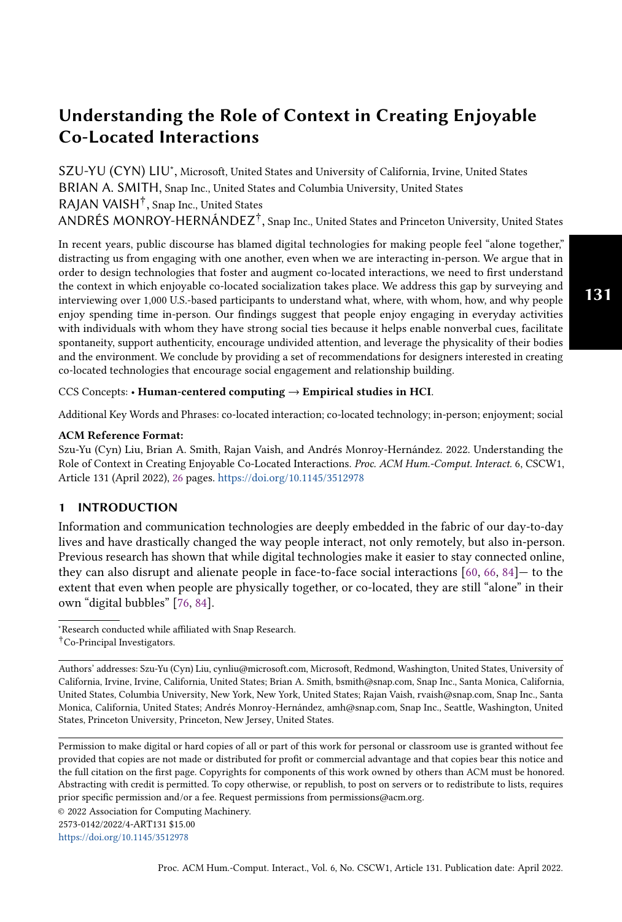SZU-YU (CYN) LIU<sup>∗</sup> , Microsoft, United States and University of California, Irvine, United States BRIAN A. SMITH, Snap Inc., United States and Columbia University, United States RAJAN VAISH† , Snap Inc., United States ANDRÉS MONROY-HERNÁNDEZ† , Snap Inc., United States and Princeton University, United States

In recent years, public discourse has blamed digital technologies for making people feel "alone together," distracting us from engaging with one another, even when we are interacting in-person. We argue that in order to design technologies that foster and augment co-located interactions, we need to first understand the context in which enjoyable co-located socialization takes place. We address this gap by surveying and interviewing over 1,000 U.S.-based participants to understand what, where, with whom, how, and why people enjoy spending time in-person. Our findings suggest that people enjoy engaging in everyday activities with individuals with whom they have strong social ties because it helps enable nonverbal cues, facilitate spontaneity, support authenticity, encourage undivided attention, and leverage the physicality of their bodies and the environment. We conclude by providing a set of recommendations for designers interested in creating co-located technologies that encourage social engagement and relationship building.

CCS Concepts: • Human-centered computing  $\rightarrow$  Empirical studies in HCI.

Additional Key Words and Phrases: co-located interaction; co-located technology; in-person; enjoyment; social

#### ACM Reference Format:

Szu-Yu (Cyn) Liu, Brian A. Smith, Rajan Vaish, and Andrés Monroy-Hernández. 2022. Understanding the Role of Context in Creating Enjoyable Co-Located Interactions. Proc. ACM Hum.-Comput. Interact. 6, CSCW1, Article 131 (April 2022), [26](#page-25-0) pages. <https://doi.org/10.1145/3512978>

#### 1 INTRODUCTION

Information and communication technologies are deeply embedded in the fabric of our day-to-day lives and have drastically changed the way people interact, not only remotely, but also in-person. Previous research has shown that while digital technologies make it easier to stay connected online, they can also disrupt and alienate people in face-to-face social interactions [\[60,](#page-24-0) [66,](#page-24-1) [84\]](#page-25-1)— to the extent that even when people are physically together, or co-located, they are still "alone" in their own "digital bubbles" [\[76,](#page-25-2) [84\]](#page-25-1).

†Co-Principal Investigators.

© 2022 Association for Computing Machinery.

2573-0142/2022/4-ART131 \$15.00

<https://doi.org/10.1145/3512978>

<sup>∗</sup>Research conducted while affiliated with Snap Research.

Authors' addresses: Szu-Yu (Cyn) Liu, cynliu@microsoft.com, Microsoft, Redmond, Washington, United States, University of California, Irvine, Irvine, California, United States; Brian A. Smith, bsmith@snap.com, Snap Inc., Santa Monica, California, United States, Columbia University, New York, New York, United States; Rajan Vaish, rvaish@snap.com, Snap Inc., Santa Monica, California, United States; Andrés Monroy-Hernández, amh@snap.com, Snap Inc., Seattle, Washington, United States, Princeton University, Princeton, New Jersey, United States.

Permission to make digital or hard copies of all or part of this work for personal or classroom use is granted without fee provided that copies are not made or distributed for profit or commercial advantage and that copies bear this notice and the full citation on the first page. Copyrights for components of this work owned by others than ACM must be honored. Abstracting with credit is permitted. To copy otherwise, or republish, to post on servers or to redistribute to lists, requires prior specific permission and/or a fee. Request permissions from permissions@acm.org.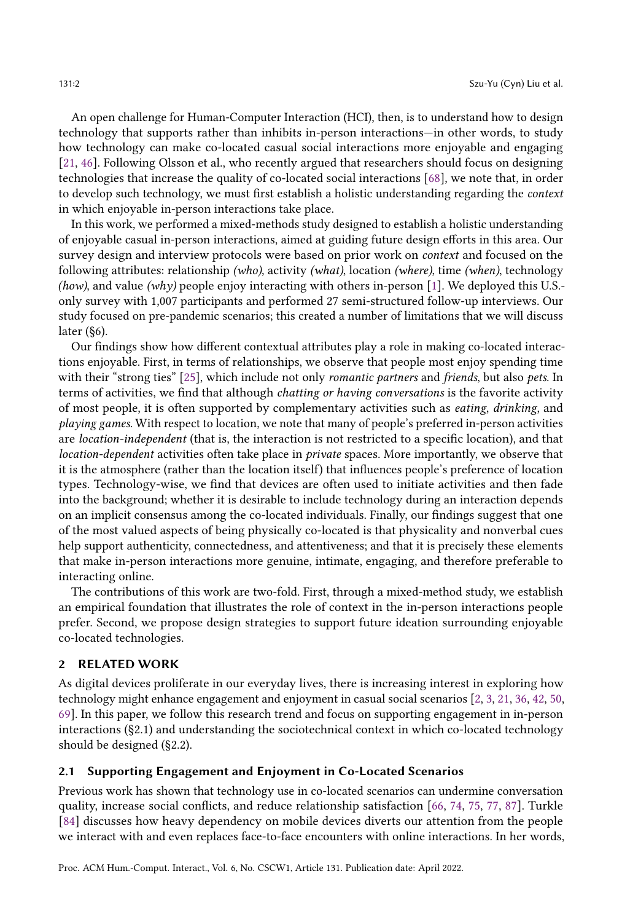An open challenge for Human-Computer Interaction (HCI), then, is to understand how to design technology that supports rather than inhibits in-person interactions—in other words, to study how technology can make co-located casual social interactions more enjoyable and engaging [\[21,](#page-22-0) [46\]](#page-23-0). Following Olsson et al., who recently argued that researchers should focus on designing technologies that increase the quality of co-located social interactions [\[68\]](#page-24-2), we note that, in order to develop such technology, we must first establish a holistic understanding regarding the context in which enjoyable in-person interactions take place.

In this work, we performed a mixed-methods study designed to establish a holistic understanding of enjoyable casual in-person interactions, aimed at guiding future design efforts in this area. Our survey design and interview protocols were based on prior work on context and focused on the following attributes: relationship (who), activity (what), location (where), time (when), technology (how), and value (why) people enjoy interacting with others in-person [\[1\]](#page-22-1). We deployed this U.S. only survey with 1,007 participants and performed 27 semi-structured follow-up interviews. Our study focused on pre-pandemic scenarios; this created a number of limitations that we will discuss later (§6).

Our findings show how different contextual attributes play a role in making co-located interactions enjoyable. First, in terms of relationships, we observe that people most enjoy spending time with their "strong ties" [\[25\]](#page-23-1), which include not only *romantic partners* and *friends*, but also *pets*. In terms of activities, we find that although chatting or having conversations is the favorite activity of most people, it is often supported by complementary activities such as eating, drinking, and playing games. With respect to location, we note that many of people's preferred in-person activities are location-independent (that is, the interaction is not restricted to a specific location), and that location-dependent activities often take place in private spaces. More importantly, we observe that it is the atmosphere (rather than the location itself) that influences people's preference of location types. Technology-wise, we find that devices are often used to initiate activities and then fade into the background; whether it is desirable to include technology during an interaction depends on an implicit consensus among the co-located individuals. Finally, our findings suggest that one of the most valued aspects of being physically co-located is that physicality and nonverbal cues help support authenticity, connectedness, and attentiveness; and that it is precisely these elements that make in-person interactions more genuine, intimate, engaging, and therefore preferable to interacting online.

The contributions of this work are two-fold. First, through a mixed-method study, we establish an empirical foundation that illustrates the role of context in the in-person interactions people prefer. Second, we propose design strategies to support future ideation surrounding enjoyable co-located technologies.

#### 2 RELATED WORK

As digital devices proliferate in our everyday lives, there is increasing interest in exploring how technology might enhance engagement and enjoyment in casual social scenarios [\[2,](#page-22-2) [3,](#page-22-3) [21,](#page-22-0) [36,](#page-23-2) [42,](#page-23-3) [50,](#page-24-3) [69\]](#page-24-4). In this paper, we follow this research trend and focus on supporting engagement in in-person interactions (§2.1) and understanding the sociotechnical context in which co-located technology should be designed (§2.2).

#### 2.1 Supporting Engagement and Enjoyment in Co-Located Scenarios

Previous work has shown that technology use in co-located scenarios can undermine conversation quality, increase social conflicts, and reduce relationship satisfaction [\[66,](#page-24-1) [74,](#page-25-3) [75,](#page-25-4) [77,](#page-25-5) [87\]](#page-25-6). Turkle [\[84\]](#page-25-1) discusses how heavy dependency on mobile devices diverts our attention from the people we interact with and even replaces face-to-face encounters with online interactions. In her words,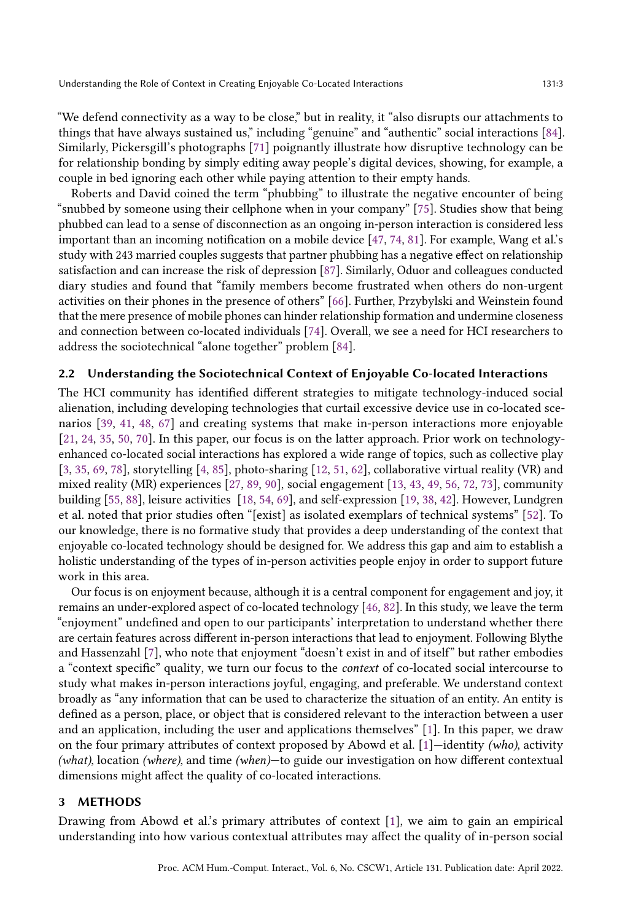"We defend connectivity as a way to be close," but in reality, it "also disrupts our attachments to things that have always sustained us," including "genuine" and "authentic" social interactions [\[84\]](#page-25-1). Similarly, Pickersgill's photographs [\[71\]](#page-24-5) poignantly illustrate how disruptive technology can be for relationship bonding by simply editing away people's digital devices, showing, for example, a couple in bed ignoring each other while paying attention to their empty hands.

Roberts and David coined the term "phubbing" to illustrate the negative encounter of being "snubbed by someone using their cellphone when in your company" [\[75\]](#page-25-4). Studies show that being phubbed can lead to a sense of disconnection as an ongoing in-person interaction is considered less important than an incoming notification on a mobile device [\[47,](#page-23-4) [74,](#page-25-3) [81\]](#page-25-7). For example, Wang et al.'s study with 243 married couples suggests that partner phubbing has a negative effect on relationship satisfaction and can increase the risk of depression [\[87\]](#page-25-6). Similarly, Oduor and colleagues conducted diary studies and found that "family members become frustrated when others do non-urgent activities on their phones in the presence of others" [\[66\]](#page-24-1). Further, Przybylski and Weinstein found that the mere presence of mobile phones can hinder relationship formation and undermine closeness and connection between co-located individuals [\[74\]](#page-25-3). Overall, we see a need for HCI researchers to address the sociotechnical "alone together" problem [\[84\]](#page-25-1).

#### 2.2 Understanding the Sociotechnical Context of Enjoyable Co-located Interactions

The HCI community has identified different strategies to mitigate technology-induced social alienation, including developing technologies that curtail excessive device use in co-located scenarios [\[39,](#page-23-5) [41,](#page-23-6) [48,](#page-23-7) [67\]](#page-24-6) and creating systems that make in-person interactions more enjoyable [\[21,](#page-22-0) [24,](#page-23-8) [35,](#page-23-9) [50,](#page-24-3) [70\]](#page-24-7). In this paper, our focus is on the latter approach. Prior work on technologyenhanced co-located social interactions has explored a wide range of topics, such as collective play [\[3,](#page-22-3) [35,](#page-23-9) [69,](#page-24-4) [78\]](#page-25-8), storytelling [\[4,](#page-22-4) [85\]](#page-25-9), photo-sharing [\[12,](#page-22-5) [51,](#page-24-8) [62\]](#page-24-9), collaborative virtual reality (VR) and mixed reality (MR) experiences [\[27,](#page-23-10) [89,](#page-25-10) [90\]](#page-25-11), social engagement [\[13,](#page-22-6) [43,](#page-23-11) [49,](#page-24-10) [56,](#page-24-11) [72,](#page-24-12) [73\]](#page-25-12), community building [\[55,](#page-24-13) [88\]](#page-25-13), leisure activities [\[18,](#page-22-7) [54,](#page-24-14) [69\]](#page-24-4), and self-expression [\[19,](#page-22-8) [38,](#page-23-12) [42\]](#page-23-3). However, Lundgren et al. noted that prior studies often "[exist] as isolated exemplars of technical systems" [\[52\]](#page-24-15). To our knowledge, there is no formative study that provides a deep understanding of the context that enjoyable co-located technology should be designed for. We address this gap and aim to establish a holistic understanding of the types of in-person activities people enjoy in order to support future work in this area.

Our focus is on enjoyment because, although it is a central component for engagement and joy, it remains an under-explored aspect of co-located technology [\[46,](#page-23-0) [82\]](#page-25-14). In this study, we leave the term "enjoyment" undefined and open to our participants' interpretation to understand whether there are certain features across different in-person interactions that lead to enjoyment. Following Blythe and Hassenzahl [\[7\]](#page-22-9), who note that enjoyment "doesn't exist in and of itself" but rather embodies a "context specific" quality, we turn our focus to the context of co-located social intercourse to study what makes in-person interactions joyful, engaging, and preferable. We understand context broadly as "any information that can be used to characterize the situation of an entity. An entity is defined as a person, place, or object that is considered relevant to the interaction between a user and an application, including the user and applications themselves" [\[1\]](#page-22-1). In this paper, we draw on the four primary attributes of context proposed by Abowd et al. [\[1\]](#page-22-1)—identity (who), activity (what), location (where), and time (when)—to guide our investigation on how different contextual dimensions might affect the quality of co-located interactions.

#### 3 METHODS

Drawing from Abowd et al.'s primary attributes of context [\[1\]](#page-22-1), we aim to gain an empirical understanding into how various contextual attributes may affect the quality of in-person social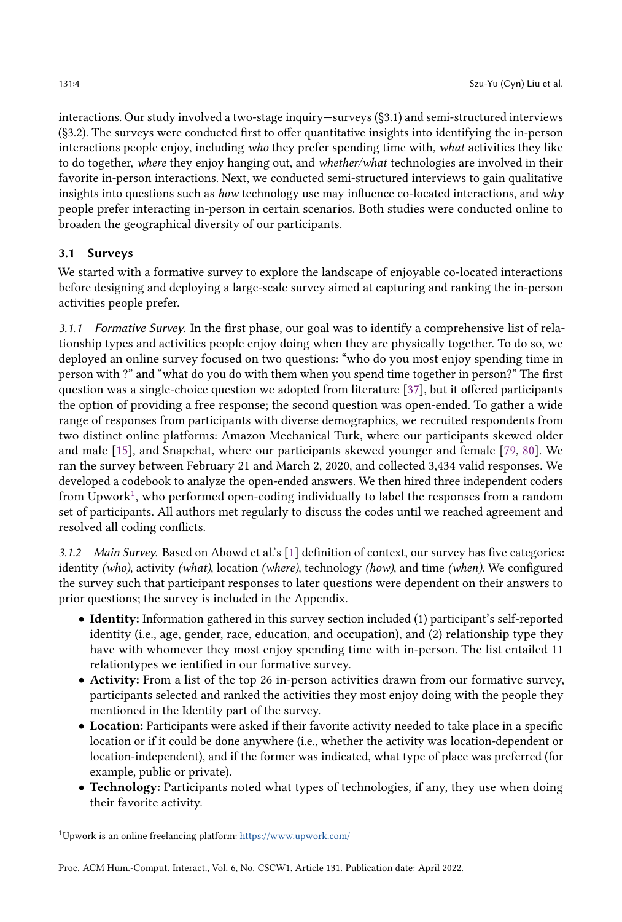interactions. Our study involved a two-stage inquiry—surveys (§3.1) and semi-structured interviews (§3.2). The surveys were conducted first to offer quantitative insights into identifying the in-person interactions people enjoy, including who they prefer spending time with, what activities they like to do together, where they enjoy hanging out, and whether/what technologies are involved in their favorite in-person interactions. Next, we conducted semi-structured interviews to gain qualitative insights into questions such as *how* technology use may influence co-located interactions, and  $why$ people prefer interacting in-person in certain scenarios. Both studies were conducted online to broaden the geographical diversity of our participants.

### 3.1 Surveys

We started with a formative survey to explore the landscape of enjoyable co-located interactions before designing and deploying a large-scale survey aimed at capturing and ranking the in-person activities people prefer.

3.1.1 Formative Survey. In the first phase, our goal was to identify a comprehensive list of relationship types and activities people enjoy doing when they are physically together. To do so, we deployed an online survey focused on two questions: "who do you most enjoy spending time in person with ?" and "what do you do with them when you spend time together in person?" The first question was a single-choice question we adopted from literature [\[37\]](#page-23-13), but it offered participants the option of providing a free response; the second question was open-ended. To gather a wide range of responses from participants with diverse demographics, we recruited respondents from two distinct online platforms: Amazon Mechanical Turk, where our participants skewed older and male [\[15\]](#page-22-10), and Snapchat, where our participants skewed younger and female [\[79,](#page-25-15) [80\]](#page-25-16). We ran the survey between February 21 and March 2, 2020, and collected 3,434 valid responses. We developed a codebook to analyze the open-ended answers. We then hired three independent coders from Upwork $^1$  $^1$ , who performed open-coding individually to label the responses from a random set of participants. All authors met regularly to discuss the codes until we reached agreement and resolved all coding conflicts.

3.1.2 Main Survey. Based on Abowd et al.'s [\[1\]](#page-22-1) definition of context, our survey has five categories: identity (who), activity (what), location (where), technology (how), and time (when). We configured the survey such that participant responses to later questions were dependent on their answers to prior questions; the survey is included in the Appendix.

- Identity: Information gathered in this survey section included (1) participant's self-reported identity (i.e., age, gender, race, education, and occupation), and (2) relationship type they have with whomever they most enjoy spending time with in-person. The list entailed 11 relationtypes we ientified in our formative survey.
- Activity: From a list of the top 26 in-person activities drawn from our formative survey, participants selected and ranked the activities they most enjoy doing with the people they mentioned in the Identity part of the survey.
- Location: Participants were asked if their favorite activity needed to take place in a specific location or if it could be done anywhere (i.e., whether the activity was location-dependent or location-independent), and if the former was indicated, what type of place was preferred (for example, public or private).
- Technology: Participants noted what types of technologies, if any, they use when doing their favorite activity.

<span id="page-3-0"></span><sup>1</sup>Upwork is an online freelancing platform: <https://www.upwork.com/>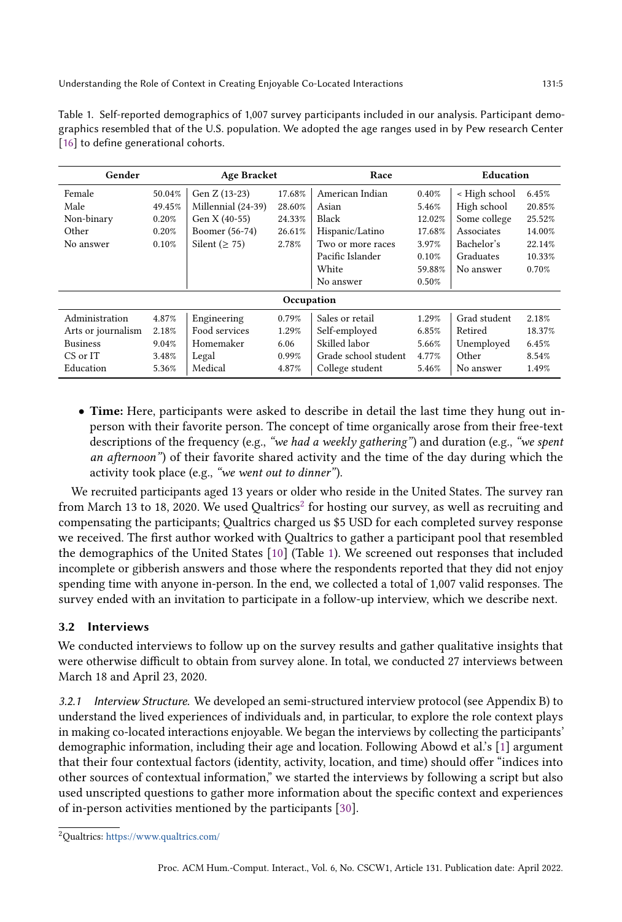<span id="page-4-1"></span>

| Table 1. Self-reported demographics of 1,007 survey participants included in our analysis. Participant demo- |
|--------------------------------------------------------------------------------------------------------------|
| graphics resembled that of the U.S. population. We adopted the age ranges used in by Pew research Center     |
| [16] to define generational cohorts.                                                                         |

| Gender             |        | <b>Age Bracket</b>  |                            | Race                                    |        | Education     |        |  |
|--------------------|--------|---------------------|----------------------------|-----------------------------------------|--------|---------------|--------|--|
| Female             | 50.04% | Gen Z (13-23)       | 17.68%                     | American Indian                         | 0.40%  | < High school | 6.45%  |  |
| Male               | 49.45% | Millennial (24-39)  | 28.60%                     | Asian                                   | 5.46%  | High school   | 20.85% |  |
| Non-binary         | 0.20%  | Gen X (40-55)       | 24.33%                     | Black<br>Some college<br>12.02%         |        | 25.52%        |        |  |
| Other              | 0.20%  | Boomer (56-74)      | 26.61%                     | Associates<br>Hispanic/Latino<br>17.68% |        | 14.00%        |        |  |
| No answer          | 0.10%  | Silent ( $\geq$ 75) | 2.78%<br>Two or more races |                                         | 3.97%  | Bachelor's    | 22.14% |  |
|                    |        |                     |                            | Pacific Islander                        | 0.10%  | Graduates     | 10.33% |  |
|                    |        |                     |                            | White                                   | 59.88% | No answer     | 0.70%  |  |
|                    |        |                     |                            | No answer                               | 0.50%  |               |        |  |
| Occupation         |        |                     |                            |                                         |        |               |        |  |
| Administration     | 4.87%  | Engineering         | 0.79%                      | Sales or retail                         | 1.29%  | Grad student  | 2.18%  |  |
| Arts or journalism | 2.18%  | Food services       | 1.29%                      | Self-employed                           | 6.85%  | Retired       | 18.37% |  |
| <b>Business</b>    | 9.04%  | Homemaker           | 6.06                       | Skilled labor                           | 5.66%  | Unemployed    | 6.45%  |  |
| CS or IT           | 3.48%  | Legal               | 0.99%                      | Grade school student                    | 4.77%  | Other         | 8.54%  |  |
| Education          | 5.36%  | Medical             | 4.87%                      | College student                         | 5.46%  | No answer     | 1.49%  |  |

• Time: Here, participants were asked to describe in detail the last time they hung out inperson with their favorite person. The concept of time organically arose from their free-text descriptions of the frequency (e.g., "we had a weekly gathering") and duration (e.g., "we spent an afternoon") of their favorite shared activity and the time of the day during which the activity took place (e.g., "we went out to dinner").

We recruited participants aged 13 years or older who reside in the United States. The survey ran from March 13 to 18, [2](#page-4-0)020. We used Qualtrics $^2$  for hosting our survey, as well as recruiting and compensating the participants; Qualtrics charged us \$5 USD for each completed survey response we received. The first author worked with Qualtrics to gather a participant pool that resembled the demographics of the United States [\[10\]](#page-22-12) (Table [1\)](#page-4-1). We screened out responses that included incomplete or gibberish answers and those where the respondents reported that they did not enjoy spending time with anyone in-person. In the end, we collected a total of 1,007 valid responses. The survey ended with an invitation to participate in a follow-up interview, which we describe next.

# 3.2 Interviews

We conducted interviews to follow up on the survey results and gather qualitative insights that were otherwise difficult to obtain from survey alone. In total, we conducted 27 interviews between March 18 and April 23, 2020.

3.2.1 Interview Structure. We developed an semi-structured interview protocol (see Appendix B) to understand the lived experiences of individuals and, in particular, to explore the role context plays in making co-located interactions enjoyable. We began the interviews by collecting the participants' demographic information, including their age and location. Following Abowd et al.'s [\[1\]](#page-22-1) argument that their four contextual factors (identity, activity, location, and time) should offer "indices into other sources of contextual information," we started the interviews by following a script but also used unscripted questions to gather more information about the specific context and experiences of in-person activities mentioned by the participants [\[30\]](#page-23-14).

<span id="page-4-0"></span><sup>2</sup>Qualtrics: <https://www.qualtrics.com/>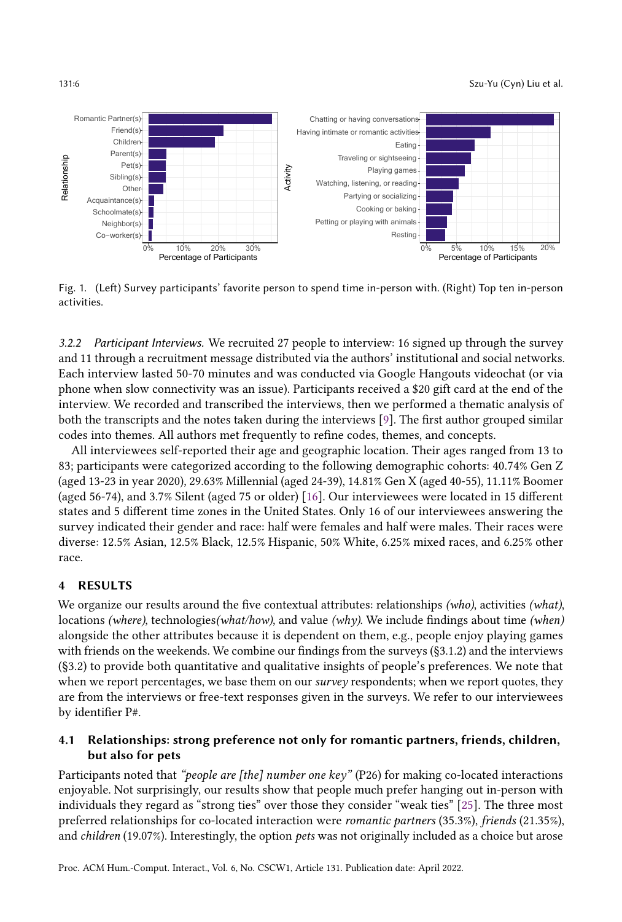#### 131:6 Szu-Yu (Cyn) Liu et al.

<span id="page-5-0"></span>

Fig. 1. (Left) Survey participants' favorite person to spend time in-person with. (Right) Top ten in-person activities.

3.2.2 Participant Interviews. We recruited 27 people to interview: 16 signed up through the survey and 11 through a recruitment message distributed via the authors' institutional and social networks. Each interview lasted 50-70 minutes and was conducted via Google Hangouts videochat (or via phone when slow connectivity was an issue). Participants received a \$20 gift card at the end of the interview. We recorded and transcribed the interviews, then we performed a thematic analysis of both the transcripts and the notes taken during the interviews [\[9\]](#page-22-13). The first author grouped similar codes into themes. All authors met frequently to refine codes, themes, and concepts.

All interviewees self-reported their age and geographic location. Their ages ranged from 13 to 83; participants were categorized according to the following demographic cohorts: 40.74% Gen Z (aged 13-23 in year 2020), 29.63% Millennial (aged 24-39), 14.81% Gen X (aged 40-55), 11.11% Boomer (aged 56-74), and 3.7% Silent (aged 75 or older) [\[16\]](#page-22-11). Our interviewees were located in 15 different states and 5 different time zones in the United States. Only 16 of our interviewees answering the survey indicated their gender and race: half were females and half were males. Their races were diverse: 12.5% Asian, 12.5% Black, 12.5% Hispanic, 50% White, 6.25% mixed races, and 6.25% other race.

### 4 RESULTS

We organize our results around the five contextual attributes: relationships (who), activities (what), locations (where), technologies(what/how), and value (why). We include findings about time (when) alongside the other attributes because it is dependent on them, e.g., people enjoy playing games with friends on the weekends. We combine our findings from the surveys (§3.1.2) and the interviews (§3.2) to provide both quantitative and qualitative insights of people's preferences. We note that when we report percentages, we base them on our *survey* respondents; when we report quotes, they are from the interviews or free-text responses given in the surveys. We refer to our interviewees by identifier P#.

# 4.1 Relationships: strong preference not only for romantic partners, friends, children, but also for pets

Participants noted that "people are [the] number one key" (P26) for making co-located interactions enjoyable. Not surprisingly, our results show that people much prefer hanging out in-person with individuals they regard as "strong ties" over those they consider "weak ties" [\[25\]](#page-23-1). The three most preferred relationships for co-located interaction were romantic partners (35.3%), friends (21.35%), and children (19.07%). Interestingly, the option pets was not originally included as a choice but arose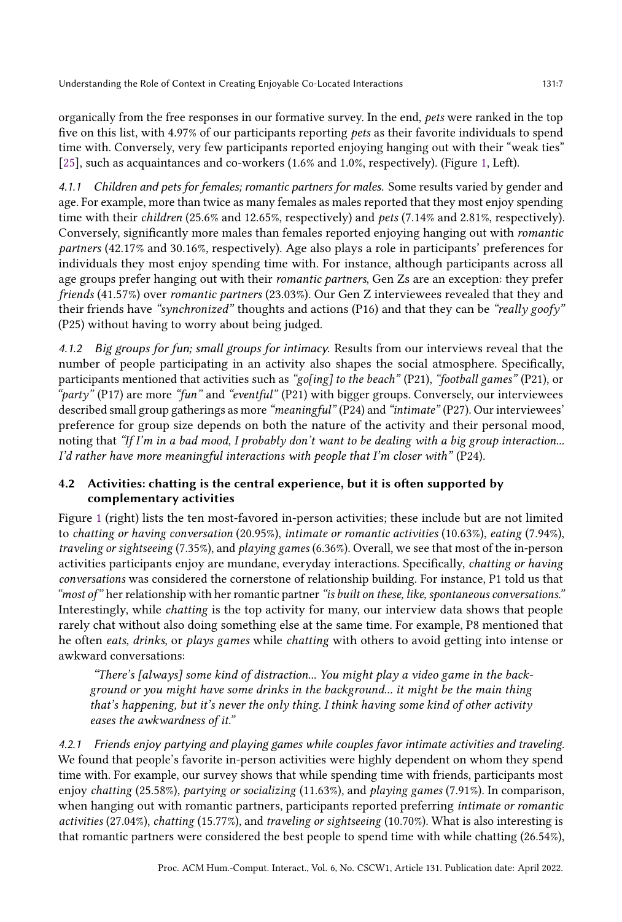organically from the free responses in our formative survey. In the end, pets were ranked in the top five on this list, with 4.97% of our participants reporting pets as their favorite individuals to spend time with. Conversely, very few participants reported enjoying hanging out with their "weak ties" [\[25\]](#page-23-1), such as acquaintances and co-workers (1.6% and 1.0%, respectively). (Figure [1,](#page-5-0) Left).

4.1.1 Children and pets for females; romantic partners for males. Some results varied by gender and age. For example, more than twice as many females as males reported that they most enjoy spending time with their children (25.6% and 12.65%, respectively) and pets (7.14% and 2.81%, respectively). Conversely, significantly more males than females reported enjoying hanging out with romantic partners (42.17% and 30.16%, respectively). Age also plays a role in participants' preferences for individuals they most enjoy spending time with. For instance, although participants across all age groups prefer hanging out with their romantic partners, Gen Zs are an exception: they prefer friends (41.57%) over romantic partners (23.03%). Our Gen Z interviewees revealed that they and their friends have "synchronized" thoughts and actions (P16) and that they can be "really goofy" (P25) without having to worry about being judged.

4.1.2 Big groups for fun; small groups for intimacy. Results from our interviews reveal that the number of people participating in an activity also shapes the social atmosphere. Specifically, participants mentioned that activities such as "go[ing] to the beach" (P21), "football games" (P21), or "party" (P17) are more "fun" and "eventful" (P21) with bigger groups. Conversely, our interviewees described small group gatherings as more "meaningful" (P24) and "intimate" (P27). Our interviewees' preference for group size depends on both the nature of the activity and their personal mood, noting that "If I'm in a bad mood, I probably don't want to be dealing with a big group interaction... I'd rather have more meaningful interactions with people that I'm closer with" (P24).

# 4.2 Activities: chatting is the central experience, but it is often supported by complementary activities

Figure [1](#page-5-0) (right) lists the ten most-favored in-person activities; these include but are not limited to chatting or having conversation (20.95%), intimate or romantic activities (10.63%), eating (7.94%), traveling or sightseeing (7.35%), and playing games (6.36%). Overall, we see that most of the in-person activities participants enjoy are mundane, everyday interactions. Specifically, chatting or having conversations was considered the cornerstone of relationship building. For instance, P1 told us that "most of" her relationship with her romantic partner "is built on these, like, spontaneous conversations." Interestingly, while chatting is the top activity for many, our interview data shows that people rarely chat without also doing something else at the same time. For example, P8 mentioned that he often eats, drinks, or plays games while chatting with others to avoid getting into intense or awkward conversations:

"There's [always] some kind of distraction... You might play a video game in the background or you might have some drinks in the background... it might be the main thing that's happening, but it's never the only thing. I think having some kind of other activity eases the awkwardness of it."

4.2.1 Friends enjoy partying and playing games while couples favor intimate activities and traveling. We found that people's favorite in-person activities were highly dependent on whom they spend time with. For example, our survey shows that while spending time with friends, participants most enjoy chatting (25.58%), partying or socializing (11.63%), and playing games (7.91%). In comparison, when hanging out with romantic partners, participants reported preferring *intimate or romantic* activities (27.04%), chatting (15.77%), and traveling or sightseeing (10.70%). What is also interesting is that romantic partners were considered the best people to spend time with while chatting (26.54%),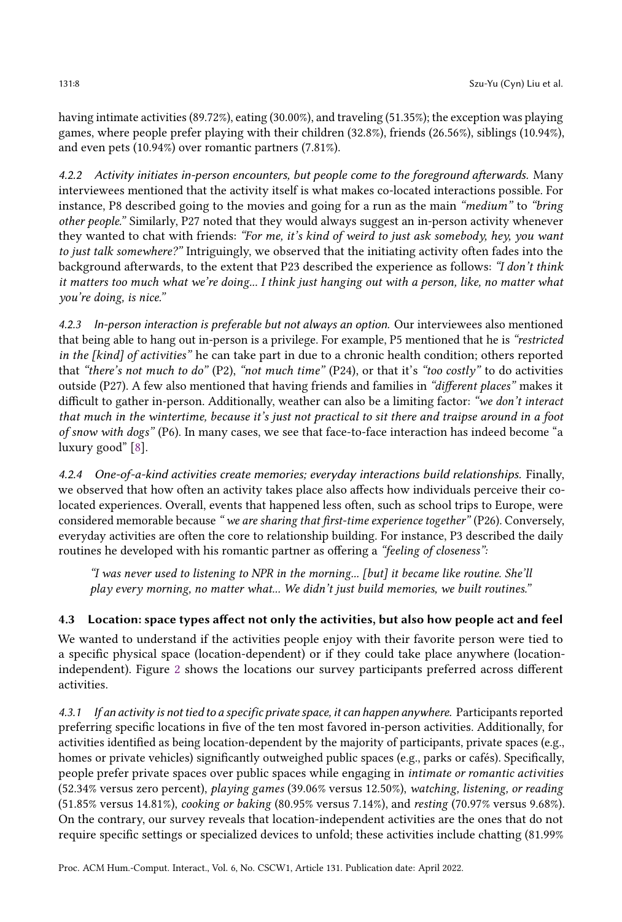having intimate activities (89.72%), eating (30.00%), and traveling (51.35%); the exception was playing games, where people prefer playing with their children (32.8%), friends (26.56%), siblings (10.94%), and even pets (10.94%) over romantic partners (7.81%).

4.2.2 Activity initiates in-person encounters, but people come to the foreground afterwards. Many interviewees mentioned that the activity itself is what makes co-located interactions possible. For instance, P8 described going to the movies and going for a run as the main "medium" to "bring other people." Similarly, P27 noted that they would always suggest an in-person activity whenever they wanted to chat with friends: "For me, it's kind of weird to just ask somebody, hey, you want to just talk somewhere?" Intriguingly, we observed that the initiating activity often fades into the background afterwards, to the extent that P23 described the experience as follows: "I don't think it matters too much what we're doing... I think just hanging out with a person, like, no matter what you're doing, is nice."

4.2.3 In-person interaction is preferable but not always an option. Our interviewees also mentioned that being able to hang out in-person is a privilege. For example, P5 mentioned that he is "restricted in the [kind] of activities" he can take part in due to a chronic health condition; others reported that "there's not much to do" (P2), "not much time" (P24), or that it's "too costly" to do activities outside (P27). A few also mentioned that having friends and families in "different places" makes it difficult to gather in-person. Additionally, weather can also be a limiting factor: "we don't interact that much in the wintertime, because it's just not practical to sit there and traipse around in a foot of snow with dogs" (P6). In many cases, we see that face-to-face interaction has indeed become "a luxury good" [\[8\]](#page-22-14).

4.2.4 One-of-a-kind activities create memories; everyday interactions build relationships. Finally, we observed that how often an activity takes place also affects how individuals perceive their colocated experiences. Overall, events that happened less often, such as school trips to Europe, were considered memorable because "we are sharing that first-time experience together" (P26). Conversely, everyday activities are often the core to relationship building. For instance, P3 described the daily routines he developed with his romantic partner as offering a "feeling of closeness":

"I was never used to listening to NPR in the morning... [but] it became like routine. She'll play every morning, no matter what... We didn't just build memories, we built routines."

# 4.3 Location: space types affect not only the activities, but also how people act and feel

We wanted to understand if the activities people enjoy with their favorite person were tied to a specific physical space (location-dependent) or if they could take place anywhere (locationindependent). Figure [2](#page-8-0) shows the locations our survey participants preferred across different activities.

4.3.1 If an activity is not tied to a specific private space, it can happen anywhere. Participants reported preferring specific locations in five of the ten most favored in-person activities. Additionally, for activities identified as being location-dependent by the majority of participants, private spaces (e.g., homes or private vehicles) significantly outweighed public spaces (e.g., parks or cafés). Specifically, people prefer private spaces over public spaces while engaging in intimate or romantic activities (52.34% versus zero percent), playing games (39.06% versus 12.50%), watching, listening, or reading (51.85% versus 14.81%), cooking or baking (80.95% versus 7.14%), and resting (70.97% versus 9.68%). On the contrary, our survey reveals that location-independent activities are the ones that do not require specific settings or specialized devices to unfold; these activities include chatting (81.99%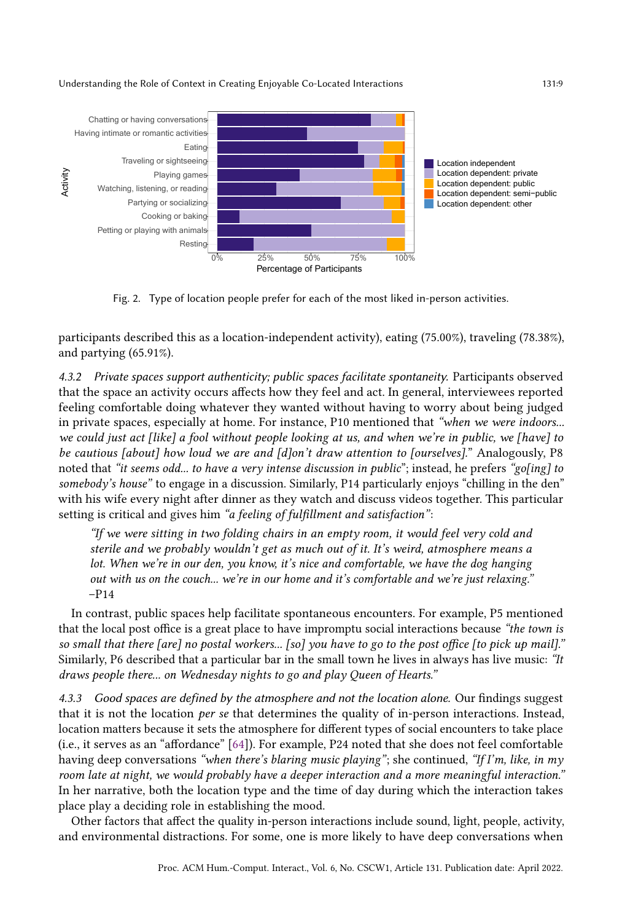<span id="page-8-0"></span>

Fig. 2. Type of location people prefer for each of the most liked in-person activities.

participants described this as a location-independent activity), eating (75.00%), traveling (78.38%), and partying (65.91%).

4.3.2 Private spaces support authenticity; public spaces facilitate spontaneity. Participants observed that the space an activity occurs affects how they feel and act. In general, interviewees reported feeling comfortable doing whatever they wanted without having to worry about being judged in private spaces, especially at home. For instance, P10 mentioned that "when we were indoors... we could just act [like] a fool without people looking at us, and when we're in public, we [have] to be cautious [about] how loud we are and [d]on't draw attention to [ourselves]." Analogously, P8 noted that "it seems odd... to have a very intense discussion in public"; instead, he prefers "go[ing] to somebody's house" to engage in a discussion. Similarly, P14 particularly enjoys "chilling in the den" with his wife every night after dinner as they watch and discuss videos together. This particular setting is critical and gives him "a feeling of fulfillment and satisfaction":

"If we were sitting in two folding chairs in an empty room, it would feel very cold and sterile and we probably wouldn't get as much out of it. It's weird, atmosphere means a lot. When we're in our den, you know, it's nice and comfortable, we have the dog hanging out with us on the couch... we're in our home and it's comfortable and we're just relaxing."  $-P14$ 

In contrast, public spaces help facilitate spontaneous encounters. For example, P5 mentioned that the local post office is a great place to have impromptu social interactions because "the town is so small that there [are] no postal workers... [so] you have to go to the post office [to pick up mail]." Similarly, P6 described that a particular bar in the small town he lives in always has live music: "It draws people there... on Wednesday nights to go and play Queen of Hearts."

4.3.3 Good spaces are defined by the atmosphere and not the location alone. Our findings suggest that it is not the location per se that determines the quality of in-person interactions. Instead, location matters because it sets the atmosphere for different types of social encounters to take place (i.e., it serves as an "affordance" [\[64\]](#page-24-16)). For example, P24 noted that she does not feel comfortable having deep conversations "when there's blaring music playing"; she continued, "If I'm, like, in my room late at night, we would probably have a deeper interaction and a more meaningful interaction." In her narrative, both the location type and the time of day during which the interaction takes place play a deciding role in establishing the mood.

Other factors that affect the quality in-person interactions include sound, light, people, activity, and environmental distractions. For some, one is more likely to have deep conversations when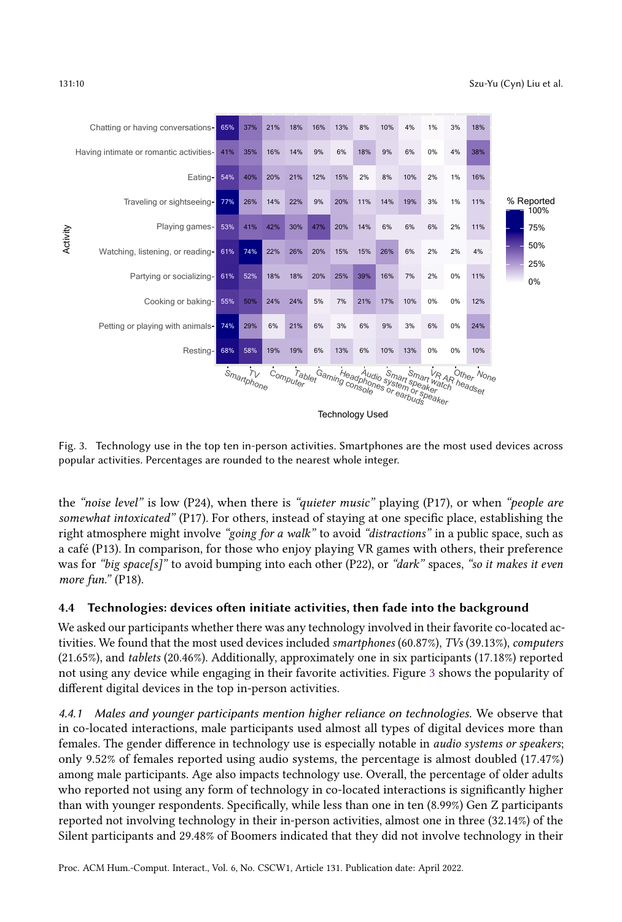<span id="page-9-0"></span>

Fig. 3. Technology use in the top ten in-person activities. Smartphones are the most used devices across popular activities. Percentages are rounded to the nearest whole integer.

the "noise level" is low (P24), when there is "quieter music" playing (P17), or when "people are somewhat intoxicated" (P17). For others, instead of staying at one specific place, establishing the right atmosphere might involve "going for a walk" to avoid "distractions" in a public space, such as a café (P13). In comparison, for those who enjoy playing VR games with others, their preference was for "big space[s]" to avoid bumping into each other (P22), or "dark" spaces, "so it makes it even more fun." (P18).

# 4.4 Technologies: devices often initiate activities, then fade into the background

We asked our participants whether there was any technology involved in their favorite co-located activities. We found that the most used devices included smartphones (60.87%), TVs (39.13%), computers (21.65%), and tablets (20.46%). Additionally, approximately one in six participants (17.18%) reported not using any device while engaging in their favorite activities. Figure [3](#page-9-0) shows the popularity of different digital devices in the top in-person activities.

4.4.1 Males and younger participants mention higher reliance on technologies. We observe that in co-located interactions, male participants used almost all types of digital devices more than females. The gender difference in technology use is especially notable in audio systems or speakers; only 9.52% of females reported using audio systems, the percentage is almost doubled (17.47%) among male participants. Age also impacts technology use. Overall, the percentage of older adults who reported not using any form of technology in co-located interactions is significantly higher than with younger respondents. Specifically, while less than one in ten (8.99%) Gen Z participants reported not involving technology in their in-person activities, almost one in three (32.14%) of the Silent participants and 29.48% of Boomers indicated that they did not involve technology in their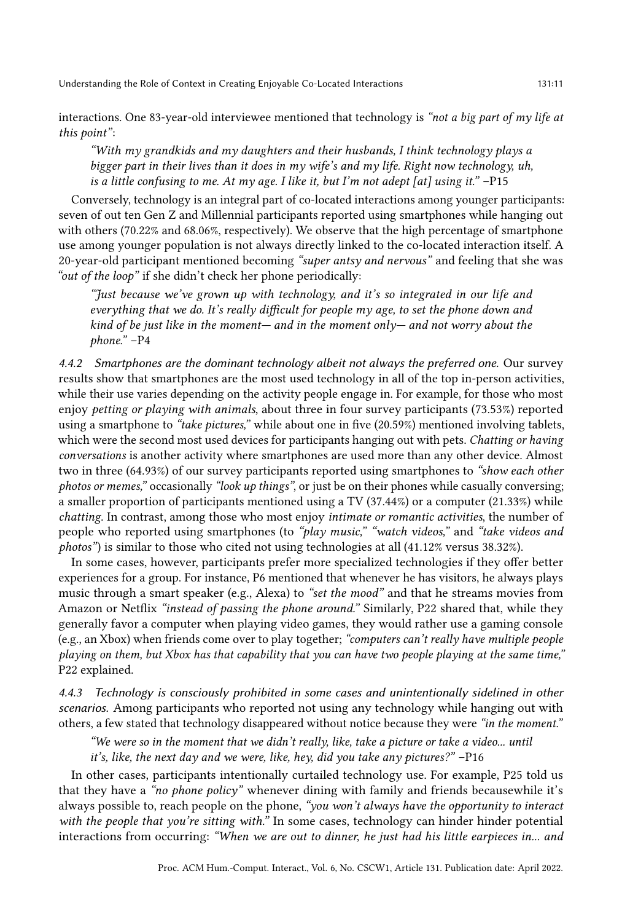interactions. One 83-year-old interviewee mentioned that technology is "not a big part of my life at this point":

"With my grandkids and my daughters and their husbands, I think technology plays a bigger part in their lives than it does in my wife's and my life. Right now technology, uh, is a little confusing to me. At my age. I like it, but I'm not adept [at] using it." –P15

Conversely, technology is an integral part of co-located interactions among younger participants: seven of out ten Gen Z and Millennial participants reported using smartphones while hanging out with others (70.22% and 68.06%, respectively). We observe that the high percentage of smartphone use among younger population is not always directly linked to the co-located interaction itself. A 20-year-old participant mentioned becoming "super antsy and nervous" and feeling that she was "out of the loop" if she didn't check her phone periodically:

"Just because we've grown up with technology, and it's so integrated in our life and everything that we do. It's really difficult for people my age, to set the phone down and kind of be just like in the moment— and in the moment only— and not worry about the phone." –P4

4.4.2 Smartphones are the dominant technology albeit not always the preferred one. Our survey results show that smartphones are the most used technology in all of the top in-person activities, while their use varies depending on the activity people engage in. For example, for those who most enjoy petting or playing with animals, about three in four survey participants (73.53%) reported using a smartphone to "take pictures," while about one in five (20.59%) mentioned involving tablets, which were the second most used devices for participants hanging out with pets. Chatting or having conversations is another activity where smartphones are used more than any other device. Almost two in three (64.93%) of our survey participants reported using smartphones to "show each other photos or memes," occasionally "look up things", or just be on their phones while casually conversing; a smaller proportion of participants mentioned using a TV (37.44%) or a computer (21.33%) while chatting. In contrast, among those who most enjoy intimate or romantic activities, the number of people who reported using smartphones (to "play music," "watch videos," and "take videos and photos") is similar to those who cited not using technologies at all (41.12% versus 38.32%).

In some cases, however, participants prefer more specialized technologies if they offer better experiences for a group. For instance, P6 mentioned that whenever he has visitors, he always plays music through a smart speaker (e.g., Alexa) to "set the mood" and that he streams movies from Amazon or Netflix "instead of passing the phone around." Similarly, P22 shared that, while they generally favor a computer when playing video games, they would rather use a gaming console (e.g., an Xbox) when friends come over to play together; "computers can't really have multiple people playing on them, but Xbox has that capability that you can have two people playing at the same time," P22 explained.

4.4.3 Technology is consciously prohibited in some cases and unintentionally sidelined in other scenarios. Among participants who reported not using any technology while hanging out with others, a few stated that technology disappeared without notice because they were "in the moment."

"We were so in the moment that we didn't really, like, take a picture or take a video... until it's, like, the next day and we were, like, hey, did you take any pictures?" –P16

In other cases, participants intentionally curtailed technology use. For example, P25 told us that they have a "no phone policy" whenever dining with family and friends becausewhile it's always possible to, reach people on the phone, "you won't always have the opportunity to interact with the people that you're sitting with." In some cases, technology can hinder hinder potential interactions from occurring: "When we are out to dinner, he just had his little earpieces in... and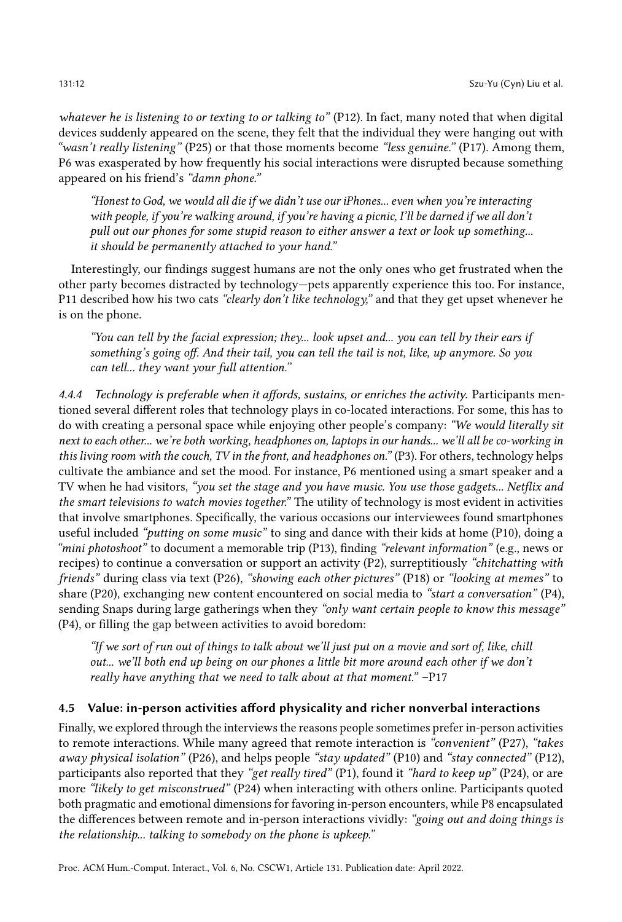whatever he is listening to or texting to or talking to" (P12). In fact, many noted that when digital devices suddenly appeared on the scene, they felt that the individual they were hanging out with "wasn't really listening" (P25) or that those moments become "less genuine." (P17). Among them, P6 was exasperated by how frequently his social interactions were disrupted because something appeared on his friend's "damn phone."

"Honest to God, we would all die if we didn't use our iPhones... even when you're interacting with people, if you're walking around, if you're having a picnic, I'll be darned if we all don't pull out our phones for some stupid reason to either answer a text or look up something... it should be permanently attached to your hand."

Interestingly, our findings suggest humans are not the only ones who get frustrated when the other party becomes distracted by technology—pets apparently experience this too. For instance, P11 described how his two cats "clearly don't like technology," and that they get upset whenever he is on the phone.

"You can tell by the facial expression; they... look upset and... you can tell by their ears if something's going off. And their tail, you can tell the tail is not, like, up anymore. So you can tell... they want your full attention."

4.4.4 Technology is preferable when it affords, sustains, or enriches the activity. Participants mentioned several different roles that technology plays in co-located interactions. For some, this has to do with creating a personal space while enjoying other people's company: "We would literally sit next to each other... we're both working, headphones on, laptops in our hands... we'll all be co-working in this living room with the couch, TV in the front, and headphones on." (P3). For others, technology helps cultivate the ambiance and set the mood. For instance, P6 mentioned using a smart speaker and a TV when he had visitors, "you set the stage and you have music. You use those gadgets... Netflix and the smart televisions to watch movies together." The utility of technology is most evident in activities that involve smartphones. Specifically, the various occasions our interviewees found smartphones useful included "putting on some music" to sing and dance with their kids at home (P10), doing a "mini photoshoot" to document a memorable trip (P13), finding "relevant information" (e.g., news or recipes) to continue a conversation or support an activity (P2), surreptitiously "chitchatting with friends" during class via text (P26), "showing each other pictures" (P18) or "looking at memes" to share (P20), exchanging new content encountered on social media to "start a conversation" (P4), sending Snaps during large gatherings when they "only want certain people to know this message" (P4), or filling the gap between activities to avoid boredom:

"If we sort of run out of things to talk about we'll just put on a movie and sort of, like, chill out... we'll both end up being on our phones a little bit more around each other if we don't really have anything that we need to talk about at that moment." –P17

### 4.5 Value: in-person activities afford physicality and richer nonverbal interactions

Finally, we explored through the interviews the reasons people sometimes prefer in-person activities to remote interactions. While many agreed that remote interaction is "convenient" (P27), "takes away physical isolation" (P26), and helps people "stay updated" (P10) and "stay connected" (P12), participants also reported that they "get really tired" (P1), found it "hard to keep up" (P24), or are more "likely to get misconstrued" (P24) when interacting with others online. Participants quoted both pragmatic and emotional dimensions for favoring in-person encounters, while P8 encapsulated the differences between remote and in-person interactions vividly: "going out and doing things is the relationship... talking to somebody on the phone is upkeep."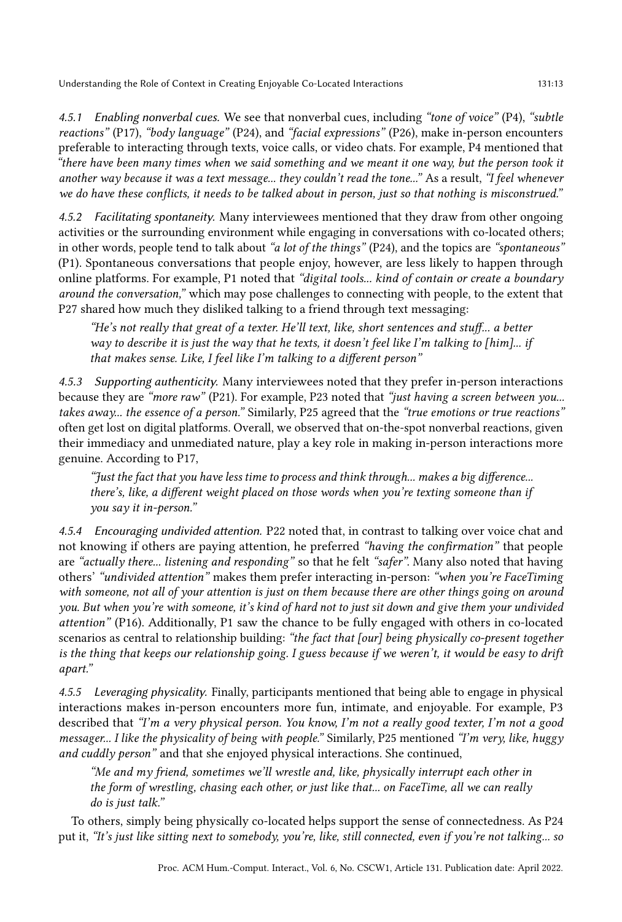4.5.1 Enabling nonverbal cues. We see that nonverbal cues, including "tone of voice" (P4), "subtle reactions" (P17), "body language" (P24), and "facial expressions" (P26), make in-person encounters

preferable to interacting through texts, voice calls, or video chats. For example, P4 mentioned that "there have been many times when we said something and we meant it one way, but the person took it another way because it was a text message... they couldn't read the tone..." As a result, "I feel whenever we do have these conflicts, it needs to be talked about in person, just so that nothing is misconstrued."

4.5.2 Facilitating spontaneity. Many interviewees mentioned that they draw from other ongoing activities or the surrounding environment while engaging in conversations with co-located others; in other words, people tend to talk about "a lot of the things" (P24), and the topics are "spontaneous" (P1). Spontaneous conversations that people enjoy, however, are less likely to happen through online platforms. For example, P1 noted that "digital tools... kind of contain or create a boundary around the conversation," which may pose challenges to connecting with people, to the extent that P27 shared how much they disliked talking to a friend through text messaging:

"He's not really that great of a texter. He'll text, like, short sentences and stuff... a better way to describe it is just the way that he texts, it doesn't feel like I'm talking to [him]... if that makes sense. Like, I feel like I'm talking to a different person"

4.5.3 Supporting authenticity. Many interviewees noted that they prefer in-person interactions because they are "more raw" (P21). For example, P23 noted that "just having a screen between you... takes away... the essence of a person." Similarly, P25 agreed that the "true emotions or true reactions" often get lost on digital platforms. Overall, we observed that on-the-spot nonverbal reactions, given their immediacy and unmediated nature, play a key role in making in-person interactions more genuine. According to P17,

"Just the fact that you have less time to process and think through... makes a big difference... there's, like, a different weight placed on those words when you're texting someone than if you say it in-person."

4.5.4 Encouraging undivided attention. P22 noted that, in contrast to talking over voice chat and not knowing if others are paying attention, he preferred "having the confirmation" that people are "actually there... listening and responding" so that he felt "safer". Many also noted that having others' "undivided attention" makes them prefer interacting in-person: "when you're FaceTiming with someone, not all of your attention is just on them because there are other things going on around you. But when you're with someone, it's kind of hard not to just sit down and give them your undivided attention" (P16). Additionally, P1 saw the chance to be fully engaged with others in co-located scenarios as central to relationship building: "the fact that [our] being physically co-present together is the thing that keeps our relationship going. I guess because if we weren't, it would be easy to drift apart."

4.5.5 Leveraging physicality. Finally, participants mentioned that being able to engage in physical interactions makes in-person encounters more fun, intimate, and enjoyable. For example, P3 described that "I'm a very physical person. You know, I'm not a really good texter, I'm not a good messager... I like the physicality of being with people." Similarly, P25 mentioned "I'm very, like, huggy and cuddly person" and that she enjoyed physical interactions. She continued,

"Me and my friend, sometimes we'll wrestle and, like, physically interrupt each other in the form of wrestling, chasing each other, or just like that... on FaceTime, all we can really do is just talk."

To others, simply being physically co-located helps support the sense of connectedness. As P24 put it, "It's just like sitting next to somebody, you're, like, still connected, even if you're not talking... so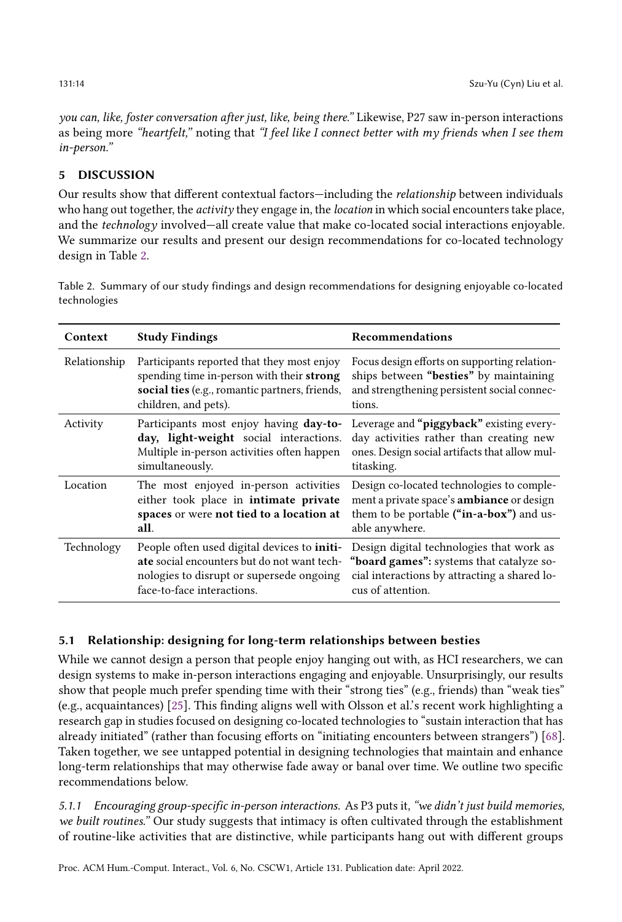you can, like, foster conversation after just, like, being there." Likewise, P27 saw in-person interactions as being more "heartfelt," noting that "I feel like I connect better with my friends when I see them in-person."

# 5 DISCUSSION

Our results show that different contextual factors—including the relationship between individuals who hang out together, the *activity* they engage in, the *location* in which social encounters take place, and the technology involved—all create value that make co-located social interactions enjoyable. We summarize our results and present our design recommendations for co-located technology design in Table [2.](#page-13-0)

<span id="page-13-0"></span>Table 2. Summary of our study findings and design recommendations for designing enjoyable co-located technologies

| Context      | <b>Study Findings</b>                                                                                                                                                | Recommendations                                                                                                                                           |
|--------------|----------------------------------------------------------------------------------------------------------------------------------------------------------------------|-----------------------------------------------------------------------------------------------------------------------------------------------------------|
| Relationship | Participants reported that they most enjoy<br>spending time in-person with their strong<br>social ties (e.g., romantic partners, friends,<br>children, and pets).    | Focus design efforts on supporting relation-<br>ships between "besties" by maintaining<br>and strengthening persistent social connec-<br>tions.           |
| Activity     | Participants most enjoy having day-to-<br>day, light-weight social interactions.<br>Multiple in-person activities often happen<br>simultaneously.                    | Leverage and "piggyback" existing every-<br>day activities rather than creating new<br>ones. Design social artifacts that allow mul-<br>titasking.        |
| Location     | The most enjoyed in-person activities<br>either took place in intimate private<br>spaces or were not tied to a location at<br>all.                                   | Design co-located technologies to comple-<br>ment a private space's ambiance or design<br>them to be portable ("in-a-box") and us-<br>able anywhere.      |
| Technology   | People often used digital devices to initi-<br>ate social encounters but do not want tech-<br>nologies to disrupt or supersede ongoing<br>face-to-face interactions. | Design digital technologies that work as<br>"board games": systems that catalyze so-<br>cial interactions by attracting a shared lo-<br>cus of attention. |

# 5.1 Relationship: designing for long-term relationships between besties

While we cannot design a person that people enjoy hanging out with, as HCI researchers, we can design systems to make in-person interactions engaging and enjoyable. Unsurprisingly, our results show that people much prefer spending time with their "strong ties" (e.g., friends) than "weak ties" (e.g., acquaintances) [\[25\]](#page-23-1). This finding aligns well with Olsson et al.'s recent work highlighting a research gap in studies focused on designing co-located technologies to "sustain interaction that has already initiated" (rather than focusing efforts on "initiating encounters between strangers") [\[68\]](#page-24-2). Taken together, we see untapped potential in designing technologies that maintain and enhance long-term relationships that may otherwise fade away or banal over time. We outline two specific recommendations below.

5.1.1 Encouraging group-specific in-person interactions. As P3 puts it, "we didn't just build memories, we built routines." Our study suggests that intimacy is often cultivated through the establishment of routine-like activities that are distinctive, while participants hang out with different groups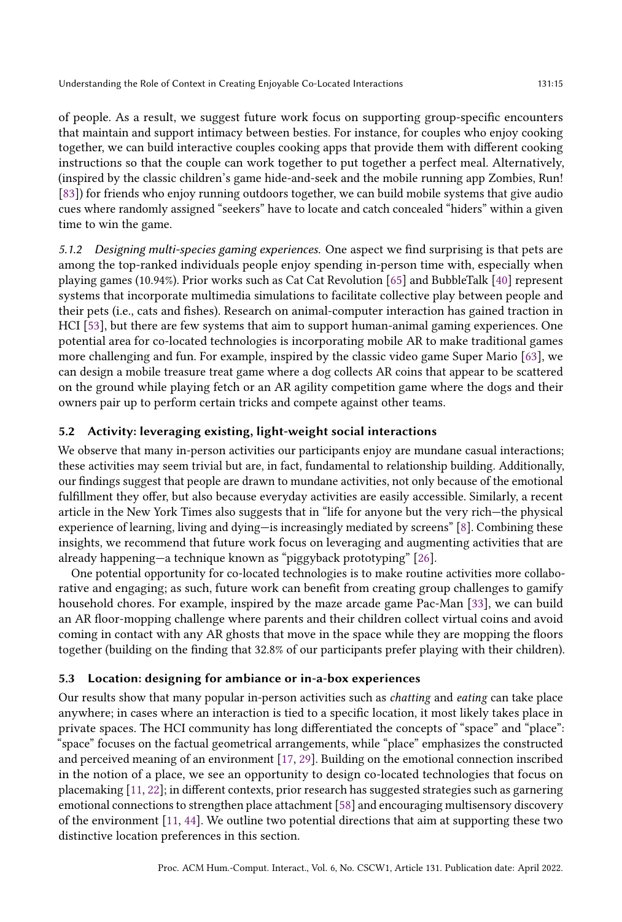of people. As a result, we suggest future work focus on supporting group-specific encounters that maintain and support intimacy between besties. For instance, for couples who enjoy cooking together, we can build interactive couples cooking apps that provide them with different cooking instructions so that the couple can work together to put together a perfect meal. Alternatively, (inspired by the classic children's game hide-and-seek and the mobile running app Zombies, Run! [\[83\]](#page-25-17)) for friends who enjoy running outdoors together, we can build mobile systems that give audio cues where randomly assigned "seekers" have to locate and catch concealed "hiders" within a given time to win the game.

5.1.2 Designing multi-species gaming experiences. One aspect we find surprising is that pets are among the top-ranked individuals people enjoy spending in-person time with, especially when playing games (10.94%). Prior works such as Cat Cat Revolution [\[65\]](#page-24-17) and BubbleTalk [\[40\]](#page-23-15) represent systems that incorporate multimedia simulations to facilitate collective play between people and their pets (i.e., cats and fishes). Research on animal-computer interaction has gained traction in HCI [\[53\]](#page-24-18), but there are few systems that aim to support human-animal gaming experiences. One potential area for co-located technologies is incorporating mobile AR to make traditional games more challenging and fun. For example, inspired by the classic video game Super Mario [\[63\]](#page-24-19), we can design a mobile treasure treat game where a dog collects AR coins that appear to be scattered on the ground while playing fetch or an AR agility competition game where the dogs and their owners pair up to perform certain tricks and compete against other teams.

#### 5.2 Activity: leveraging existing, light-weight social interactions

We observe that many in-person activities our participants enjoy are mundane casual interactions; these activities may seem trivial but are, in fact, fundamental to relationship building. Additionally, our findings suggest that people are drawn to mundane activities, not only because of the emotional fulfillment they offer, but also because everyday activities are easily accessible. Similarly, a recent article in the New York Times also suggests that in "life for anyone but the very rich—the physical experience of learning, living and dying—is increasingly mediated by screens" [\[8\]](#page-22-14). Combining these insights, we recommend that future work focus on leveraging and augmenting activities that are already happening—a technique known as "piggyback prototyping" [\[26\]](#page-23-16).

One potential opportunity for co-located technologies is to make routine activities more collaborative and engaging; as such, future work can benefit from creating group challenges to gamify household chores. For example, inspired by the maze arcade game Pac-Man [\[33\]](#page-23-17), we can build an AR floor-mopping challenge where parents and their children collect virtual coins and avoid coming in contact with any AR ghosts that move in the space while they are mopping the floors together (building on the finding that 32.8% of our participants prefer playing with their children).

#### 5.3 Location: designing for ambiance or in-a-box experiences

Our results show that many popular in-person activities such as chatting and eating can take place anywhere; in cases where an interaction is tied to a specific location, it most likely takes place in private spaces. The HCI community has long differentiated the concepts of "space" and "place": "space" focuses on the factual geometrical arrangements, while "place" emphasizes the constructed and perceived meaning of an environment [\[17,](#page-22-15) [29\]](#page-23-18). Building on the emotional connection inscribed in the notion of a place, we see an opportunity to design co-located technologies that focus on placemaking [\[11,](#page-22-16) [22\]](#page-22-17); in different contexts, prior research has suggested strategies such as garnering emotional connections to strengthen place attachment [\[58\]](#page-24-20) and encouraging multisensory discovery of the environment [\[11,](#page-22-16) [44\]](#page-23-19). We outline two potential directions that aim at supporting these two distinctive location preferences in this section.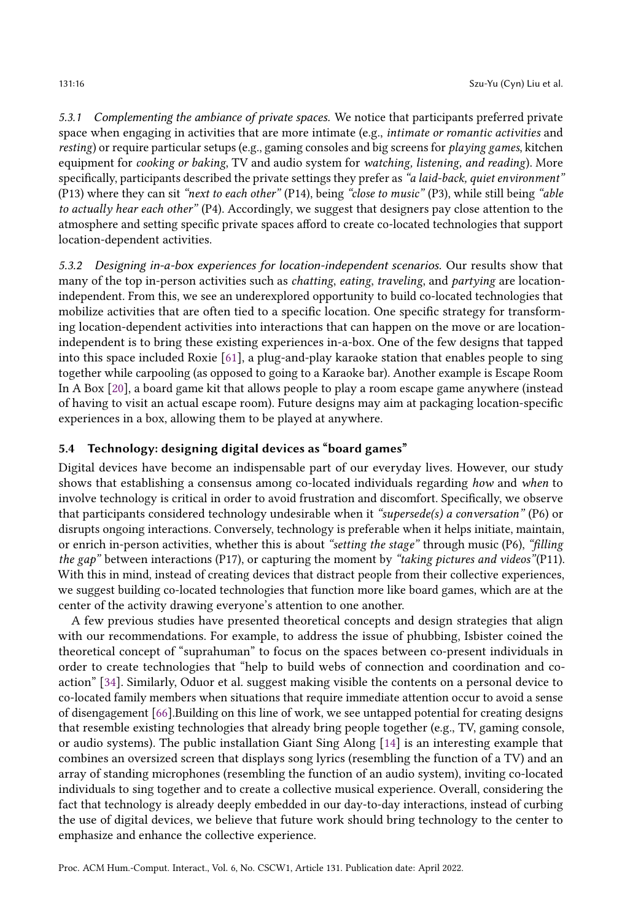5.3.1 Complementing the ambiance of private spaces. We notice that participants preferred private space when engaging in activities that are more intimate (e.g., *intimate or romantic activities* and resting) or require particular setups (e.g., gaming consoles and big screens for playing games, kitchen equipment for cooking or baking, TV and audio system for watching, listening, and reading). More specifically, participants described the private settings they prefer as "a laid-back, quiet environment" (P13) where they can sit "next to each other" (P14), being "close to music" (P3), while still being "able to actually hear each other" (P4). Accordingly, we suggest that designers pay close attention to the atmosphere and setting specific private spaces afford to create co-located technologies that support location-dependent activities.

5.3.2 Designing in-a-box experiences for location-independent scenarios. Our results show that many of the top in-person activities such as *chatting, eating, traveling, and partying* are locationindependent. From this, we see an underexplored opportunity to build co-located technologies that mobilize activities that are often tied to a specific location. One specific strategy for transforming location-dependent activities into interactions that can happen on the move or are locationindependent is to bring these existing experiences in-a-box. One of the few designs that tapped into this space included Roxie [\[61\]](#page-24-21), a plug-and-play karaoke station that enables people to sing together while carpooling (as opposed to going to a Karaoke bar). Another example is Escape Room In A Box [\[20\]](#page-22-18), a board game kit that allows people to play a room escape game anywhere (instead of having to visit an actual escape room). Future designs may aim at packaging location-specific experiences in a box, allowing them to be played at anywhere.

# 5.4 Technology: designing digital devices as "board games"

Digital devices have become an indispensable part of our everyday lives. However, our study shows that establishing a consensus among co-located individuals regarding how and when to involve technology is critical in order to avoid frustration and discomfort. Specifically, we observe that participants considered technology undesirable when it "supersede(s) a conversation" (P6) or disrupts ongoing interactions. Conversely, technology is preferable when it helps initiate, maintain, or enrich in-person activities, whether this is about "setting the stage" through music (P6), "filling the gap" between interactions (P17), or capturing the moment by "taking pictures and videos" (P11). With this in mind, instead of creating devices that distract people from their collective experiences, we suggest building co-located technologies that function more like board games, which are at the center of the activity drawing everyone's attention to one another.

A few previous studies have presented theoretical concepts and design strategies that align with our recommendations. For example, to address the issue of phubbing, Isbister coined the theoretical concept of "suprahuman" to focus on the spaces between co-present individuals in order to create technologies that "help to build webs of connection and coordination and coaction" [\[34\]](#page-23-20). Similarly, Oduor et al. suggest making visible the contents on a personal device to co-located family members when situations that require immediate attention occur to avoid a sense of disengagement [\[66\]](#page-24-1).Building on this line of work, we see untapped potential for creating designs that resemble existing technologies that already bring people together (e.g., TV, gaming console, or audio systems). The public installation Giant Sing Along [\[14\]](#page-22-19) is an interesting example that combines an oversized screen that displays song lyrics (resembling the function of a TV) and an array of standing microphones (resembling the function of an audio system), inviting co-located individuals to sing together and to create a collective musical experience. Overall, considering the fact that technology is already deeply embedded in our day-to-day interactions, instead of curbing the use of digital devices, we believe that future work should bring technology to the center to emphasize and enhance the collective experience.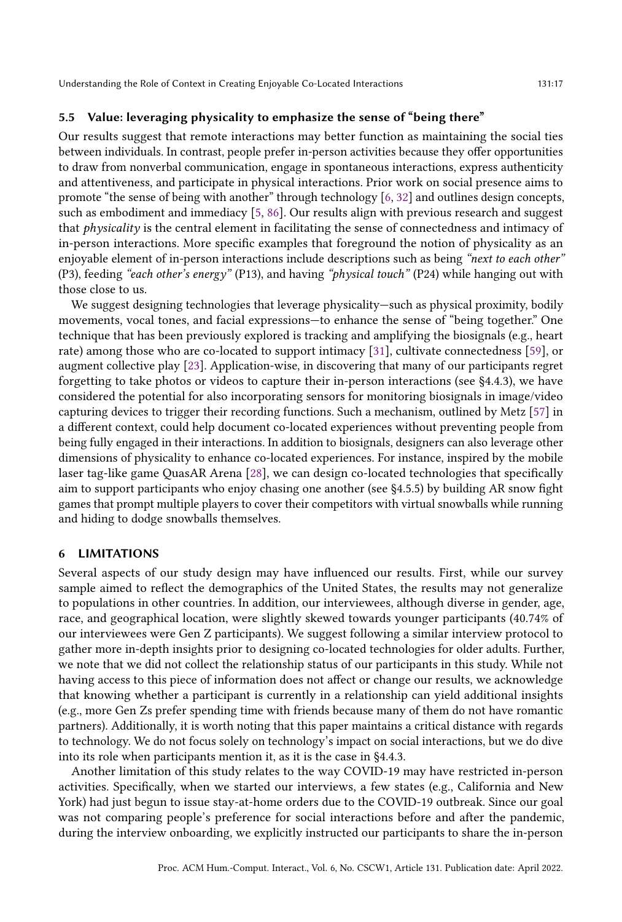### 5.5 Value: leveraging physicality to emphasize the sense of "being there"

Our results suggest that remote interactions may better function as maintaining the social ties between individuals. In contrast, people prefer in-person activities because they offer opportunities to draw from nonverbal communication, engage in spontaneous interactions, express authenticity and attentiveness, and participate in physical interactions. Prior work on social presence aims to promote "the sense of being with another" through technology [\[6,](#page-22-20) [32\]](#page-23-21) and outlines design concepts, such as embodiment and immediacy [\[5,](#page-22-21) [86\]](#page-25-18). Our results align with previous research and suggest that physicality is the central element in facilitating the sense of connectedness and intimacy of in-person interactions. More specific examples that foreground the notion of physicality as an enjoyable element of in-person interactions include descriptions such as being "next to each other" (P3), feeding "each other's energy" (P13), and having "physical touch" (P24) while hanging out with those close to us.

We suggest designing technologies that leverage physicality—such as physical proximity, bodily movements, vocal tones, and facial expressions—to enhance the sense of "being together." One technique that has been previously explored is tracking and amplifying the biosignals (e.g., heart rate) among those who are co-located to support intimacy [\[31\]](#page-23-22), cultivate connectedness [\[59\]](#page-24-22), or augment collective play [\[23\]](#page-22-22). Application-wise, in discovering that many of our participants regret forgetting to take photos or videos to capture their in-person interactions (see §4.4.3), we have considered the potential for also incorporating sensors for monitoring biosignals in image/video capturing devices to trigger their recording functions. Such a mechanism, outlined by Metz [\[57\]](#page-24-23) in a different context, could help document co-located experiences without preventing people from being fully engaged in their interactions. In addition to biosignals, designers can also leverage other dimensions of physicality to enhance co-located experiences. For instance, inspired by the mobile laser tag-like game QuasAR Arena [\[28\]](#page-23-23), we can design co-located technologies that specifically aim to support participants who enjoy chasing one another (see §4.5.5) by building AR snow fight games that prompt multiple players to cover their competitors with virtual snowballs while running and hiding to dodge snowballs themselves.

#### 6 LIMITATIONS

Several aspects of our study design may have influenced our results. First, while our survey sample aimed to reflect the demographics of the United States, the results may not generalize to populations in other countries. In addition, our interviewees, although diverse in gender, age, race, and geographical location, were slightly skewed towards younger participants (40.74% of our interviewees were Gen Z participants). We suggest following a similar interview protocol to gather more in-depth insights prior to designing co-located technologies for older adults. Further, we note that we did not collect the relationship status of our participants in this study. While not having access to this piece of information does not affect or change our results, we acknowledge that knowing whether a participant is currently in a relationship can yield additional insights (e.g., more Gen Zs prefer spending time with friends because many of them do not have romantic partners). Additionally, it is worth noting that this paper maintains a critical distance with regards to technology. We do not focus solely on technology's impact on social interactions, but we do dive into its role when participants mention it, as it is the case in §4.4.3.

Another limitation of this study relates to the way COVID-19 may have restricted in-person activities. Specifically, when we started our interviews, a few states (e.g., California and New York) had just begun to issue stay-at-home orders due to the COVID-19 outbreak. Since our goal was not comparing people's preference for social interactions before and after the pandemic, during the interview onboarding, we explicitly instructed our participants to share the in-person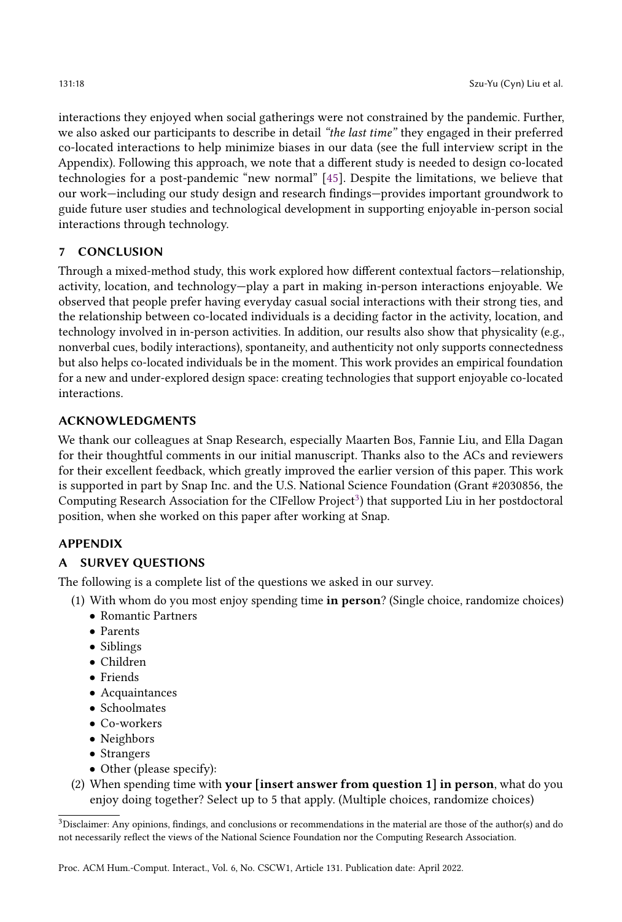interactions they enjoyed when social gatherings were not constrained by the pandemic. Further, we also asked our participants to describe in detail "the last time" they engaged in their preferred co-located interactions to help minimize biases in our data (see the full interview script in the Appendix). Following this approach, we note that a different study is needed to design co-located technologies for a post-pandemic "new normal" [\[45\]](#page-23-24). Despite the limitations, we believe that our work—including our study design and research findings—provides important groundwork to guide future user studies and technological development in supporting enjoyable in-person social interactions through technology.

# 7 CONCLUSION

Through a mixed-method study, this work explored how different contextual factors—relationship, activity, location, and technology—play a part in making in-person interactions enjoyable. We observed that people prefer having everyday casual social interactions with their strong ties, and the relationship between co-located individuals is a deciding factor in the activity, location, and technology involved in in-person activities. In addition, our results also show that physicality (e.g., nonverbal cues, bodily interactions), spontaneity, and authenticity not only supports connectedness but also helps co-located individuals be in the moment. This work provides an empirical foundation for a new and under-explored design space: creating technologies that support enjoyable co-located interactions.

# ACKNOWLEDGMENTS

We thank our colleagues at Snap Research, especially Maarten Bos, Fannie Liu, and Ella Dagan for their thoughtful comments in our initial manuscript. Thanks also to the ACs and reviewers for their excellent feedback, which greatly improved the earlier version of this paper. This work is supported in part by Snap Inc. and the U.S. National Science Foundation (Grant #2030856, the Computing Research Association for the CIFellow Project $^3$  $^3$ ) that supported Liu in her postdoctoral position, when she worked on this paper after working at Snap.

# APPENDIX

# A SURVEY QUESTIONS

The following is a complete list of the questions we asked in our survey.

- (1) With whom do you most enjoy spending time in person? (Single choice, randomize choices)
	- Romantic Partners
	- Parents
	- Siblings
	- Children
	- Friends
	- Acquaintances
	- Schoolmates
	- Co-workers
	- Neighbors
	- Strangers
	- Other (please specify):
- (2) When spending time with your [insert answer from question 1] in person, what do you enjoy doing together? Select up to 5 that apply. (Multiple choices, randomize choices)

<span id="page-17-0"></span><sup>3</sup>Disclaimer: Any opinions, findings, and conclusions or recommendations in the material are those of the author(s) and do not necessarily reflect the views of the National Science Foundation nor the Computing Research Association.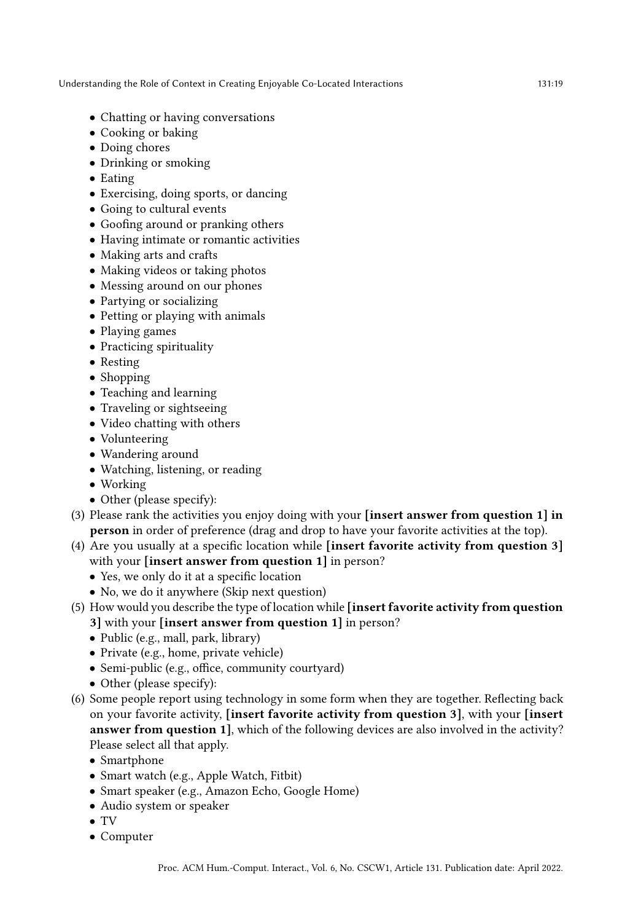- Chatting or having conversations
- Cooking or baking
- Doing chores
- Drinking or smoking
- Eating
- Exercising, doing sports, or dancing
- Going to cultural events
- Goofing around or pranking others
- Having intimate or romantic activities
- Making arts and crafts
- Making videos or taking photos
- Messing around on our phones
- Partying or socializing
- Petting or playing with animals
- Playing games
- Practicing spirituality
- Resting
- Shopping
- Teaching and learning
- Traveling or sightseeing
- Video chatting with others
- Volunteering
- Wandering around
- Watching, listening, or reading
- Working
- Other (please specify):
- (3) Please rank the activities you enjoy doing with your [insert answer from question 1] in person in order of preference (drag and drop to have your favorite activities at the top).
- (4) Are you usually at a specific location while [insert favorite activity from question 3] with your *[insert answer from question 1]* in person?
	- Yes, we only do it at a specific location
	- No, we do it anywhere (Skip next question)
- (5) How would you describe the type of location while [insert favorite activity from question 3] with your [insert answer from question 1] in person?
	- Public (e.g., mall, park, library)
	- Private (e.g., home, private vehicle)
	- Semi-public (e.g., office, community courtyard)
	- Other (please specify):
- (6) Some people report using technology in some form when they are together. Reflecting back on your favorite activity, [insert favorite activity from question 3], with your [insert answer from question 1], which of the following devices are also involved in the activity? Please select all that apply.
	- Smartphone
	- Smart watch (e.g., Apple Watch, Fitbit)
	- Smart speaker (e.g., Amazon Echo, Google Home)
	- Audio system or speaker
	- TV
	- Computer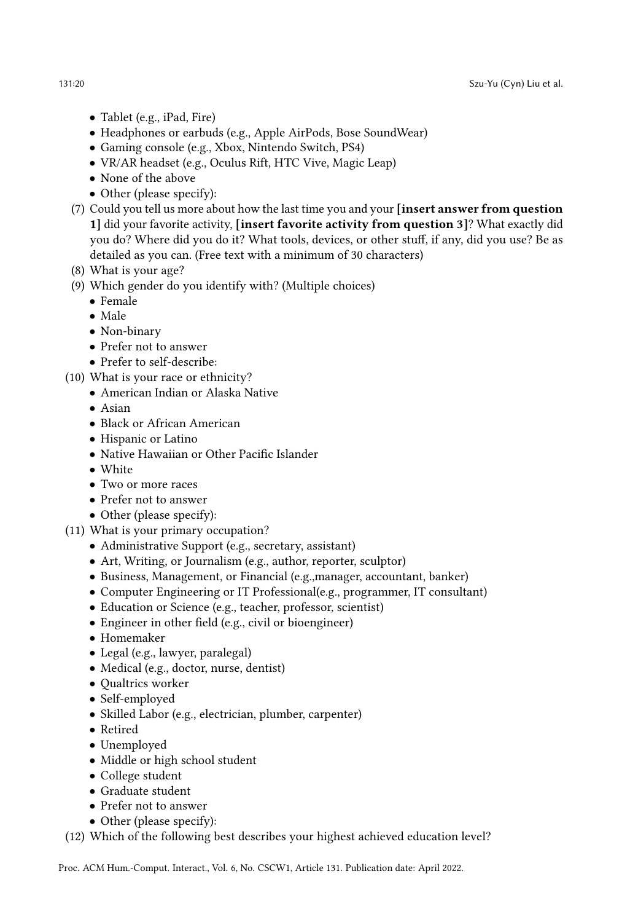- Tablet (e.g., iPad, Fire)
- Headphones or earbuds (e.g., Apple AirPods, Bose SoundWear)
- Gaming console (e.g., Xbox, Nintendo Switch, PS4)
- VR/AR headset (e.g., Oculus Rift, HTC Vive, Magic Leap)
- None of the above
- Other (please specify):
- (7) Could you tell us more about how the last time you and your [insert answer from question 1] did your favorite activity, [insert favorite activity from question 3]? What exactly did you do? Where did you do it? What tools, devices, or other stuff, if any, did you use? Be as detailed as you can. (Free text with a minimum of 30 characters)
- (8) What is your age?
- (9) Which gender do you identify with? (Multiple choices)
	- Female
		- Male
		- Non-binary
		- Prefer not to answer
		- Prefer to self-describe:
- (10) What is your race or ethnicity?
	- American Indian or Alaska Native
	- Asian
	- Black or African American
	- Hispanic or Latino
	- Native Hawaiian or Other Pacific Islander
	- White
	- Two or more races
	- Prefer not to answer
	- Other (please specify):
- (11) What is your primary occupation?
	- Administrative Support (e.g., secretary, assistant)
	- Art, Writing, or Journalism (e.g., author, reporter, sculptor)
	- Business, Management, or Financial (e.g.,manager, accountant, banker)
	- Computer Engineering or IT Professional(e.g., programmer, IT consultant)
	- Education or Science (e.g., teacher, professor, scientist)
	- Engineer in other field (e.g., civil or bioengineer)
	- Homemaker
	- Legal (e.g., lawyer, paralegal)
	- Medical (e.g., doctor, nurse, dentist)
	- Qualtrics worker
	- Self-employed
	- Skilled Labor (e.g., electrician, plumber, carpenter)
	- Retired
	- Unemployed
	- Middle or high school student
	- College student
	- Graduate student
	- Prefer not to answer
	- Other (please specify):

(12) Which of the following best describes your highest achieved education level?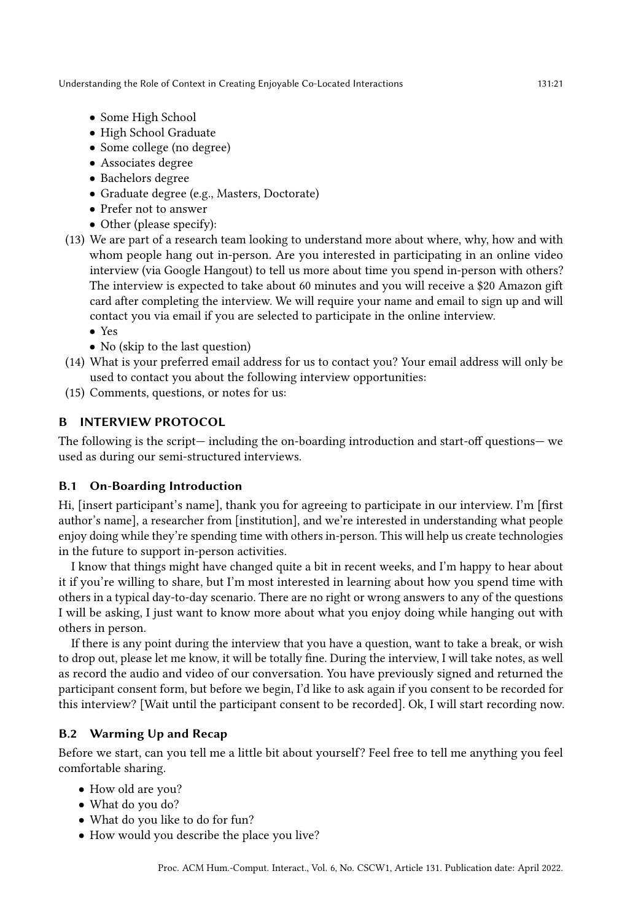- Some High School
- High School Graduate
- Some college (no degree)
- Associates degree
- Bachelors degree
- Graduate degree (e.g., Masters, Doctorate)
- Prefer not to answer
- Other (please specify):
- (13) We are part of a research team looking to understand more about where, why, how and with whom people hang out in-person. Are you interested in participating in an online video interview (via Google Hangout) to tell us more about time you spend in-person with others? The interview is expected to take about 60 minutes and you will receive a \$20 Amazon gift card after completing the interview. We will require your name and email to sign up and will contact you via email if you are selected to participate in the online interview.
	- Yes
	- No (skip to the last question)
- (14) What is your preferred email address for us to contact you? Your email address will only be used to contact you about the following interview opportunities:
- (15) Comments, questions, or notes for us:

### B INTERVIEW PROTOCOL

The following is the script— including the on-boarding introduction and start-off questions— we used as during our semi-structured interviews.

### B.1 On-Boarding Introduction

Hi, [insert participant's name], thank you for agreeing to participate in our interview. I'm [first author's name], a researcher from [institution], and we're interested in understanding what people enjoy doing while they're spending time with others in-person. This will help us create technologies in the future to support in-person activities.

I know that things might have changed quite a bit in recent weeks, and I'm happy to hear about it if you're willing to share, but I'm most interested in learning about how you spend time with others in a typical day-to-day scenario. There are no right or wrong answers to any of the questions I will be asking, I just want to know more about what you enjoy doing while hanging out with others in person.

If there is any point during the interview that you have a question, want to take a break, or wish to drop out, please let me know, it will be totally fine. During the interview, I will take notes, as well as record the audio and video of our conversation. You have previously signed and returned the participant consent form, but before we begin, I'd like to ask again if you consent to be recorded for this interview? [Wait until the participant consent to be recorded]. Ok, I will start recording now.

### B.2 Warming Up and Recap

Before we start, can you tell me a little bit about yourself? Feel free to tell me anything you feel comfortable sharing.

- How old are you?
- What do you do?
- What do you like to do for fun?
- How would you describe the place you live?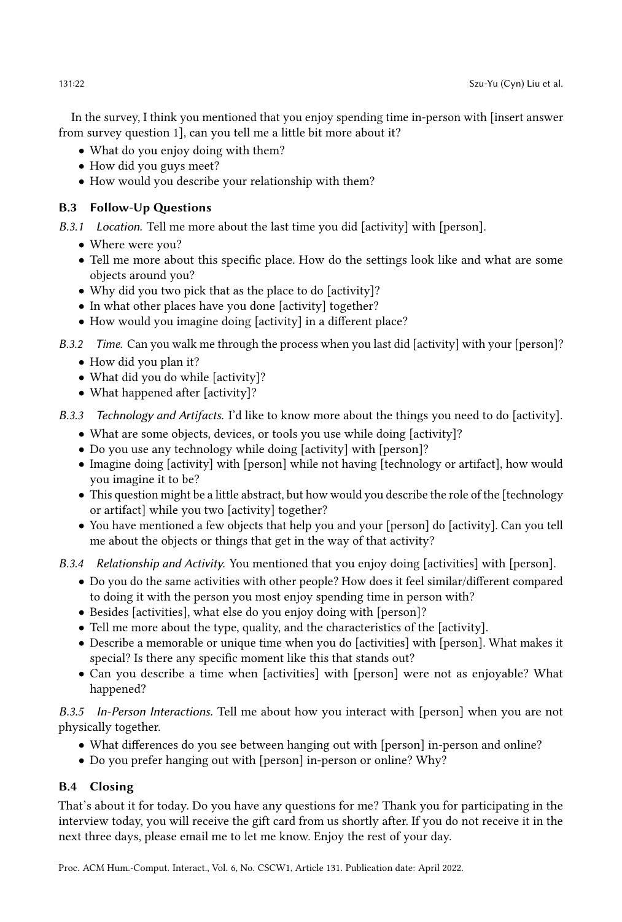In the survey, I think you mentioned that you enjoy spending time in-person with [insert answer from survey question 1], can you tell me a little bit more about it?

- What do you enjoy doing with them?
- How did you guys meet?
- How would you describe your relationship with them?

# B.3 Follow-Up Questions

B.3.1 Location. Tell me more about the last time you did [activity] with [person].

- Where were you?
- Tell me more about this specific place. How do the settings look like and what are some objects around you?
- Why did you two pick that as the place to do [activity]?
- In what other places have you done [activity] together?
- How would you imagine doing [activity] in a different place?
- B.3.2 Time. Can you walk me through the process when you last did [activity] with your [person]?
	- How did you plan it?
	- What did you do while [activity]?
	- What happened after [activity]?
- B.3.3 Technology and Artifacts. I'd like to know more about the things you need to do [activity].
	- What are some objects, devices, or tools you use while doing [activity]?
	- Do you use any technology while doing [activity] with [person]?
	- Imagine doing [activity] with [person] while not having [technology or artifact], how would you imagine it to be?
	- This question might be a little abstract, but how would you describe the role of the [technology or artifact] while you two [activity] together?
	- You have mentioned a few objects that help you and your [person] do [activity]. Can you tell me about the objects or things that get in the way of that activity?

B.3.4 Relationship and Activity. You mentioned that you enjoy doing [activities] with [person].

- Do you do the same activities with other people? How does it feel similar/different compared to doing it with the person you most enjoy spending time in person with?
- Besides [activities], what else do you enjoy doing with [person]?
- Tell me more about the type, quality, and the characteristics of the [activity].
- Describe a memorable or unique time when you do [activities] with [person]. What makes it special? Is there any specific moment like this that stands out?
- Can you describe a time when [activities] with [person] were not as enjoyable? What happened?

B.3.5 In-Person Interactions. Tell me about how you interact with [person] when you are not physically together.

- What differences do you see between hanging out with [person] in-person and online?
- Do you prefer hanging out with [person] in-person or online? Why?

# B.4 Closing

That's about it for today. Do you have any questions for me? Thank you for participating in the interview today, you will receive the gift card from us shortly after. If you do not receive it in the next three days, please email me to let me know. Enjoy the rest of your day.

Proc. ACM Hum.-Comput. Interact., Vol. 6, No. CSCW1, Article 131. Publication date: April 2022.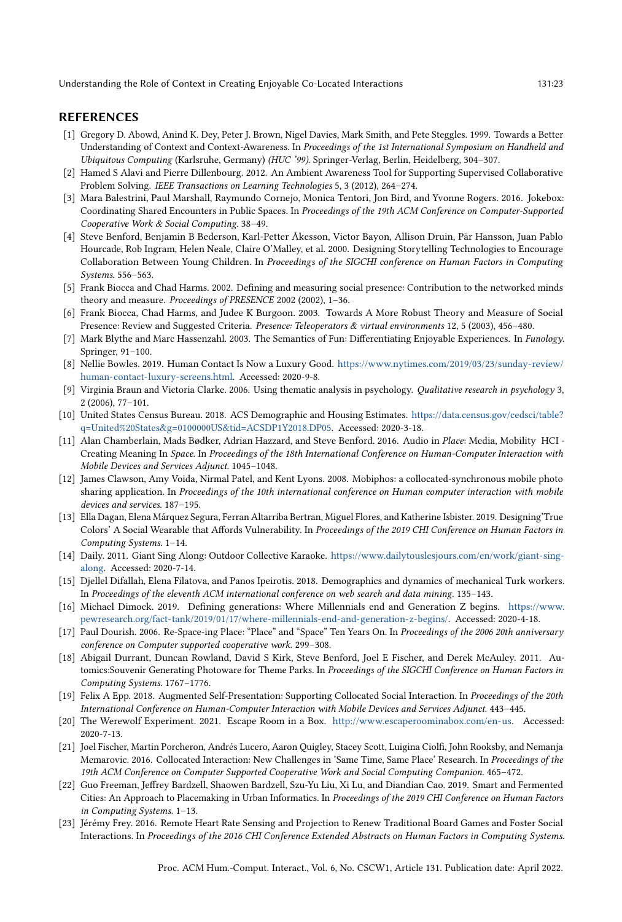#### REFERENCES

- <span id="page-22-1"></span>[1] Gregory D. Abowd, Anind K. Dey, Peter J. Brown, Nigel Davies, Mark Smith, and Pete Steggles. 1999. Towards a Better Understanding of Context and Context-Awareness. In Proceedings of the 1st International Symposium on Handheld and Ubiquitous Computing (Karlsruhe, Germany) (HUC '99). Springer-Verlag, Berlin, Heidelberg, 304–307.
- <span id="page-22-2"></span>[2] Hamed S Alavi and Pierre Dillenbourg. 2012. An Ambient Awareness Tool for Supporting Supervised Collaborative Problem Solving. IEEE Transactions on Learning Technologies 5, 3 (2012), 264–274.
- <span id="page-22-3"></span>[3] Mara Balestrini, Paul Marshall, Raymundo Cornejo, Monica Tentori, Jon Bird, and Yvonne Rogers. 2016. Jokebox: Coordinating Shared Encounters in Public Spaces. In Proceedings of the 19th ACM Conference on Computer-Supported Cooperative Work & Social Computing. 38–49.
- <span id="page-22-4"></span>[4] Steve Benford, Benjamin B Bederson, Karl-Petter Åkesson, Victor Bayon, Allison Druin, Pär Hansson, Juan Pablo Hourcade, Rob Ingram, Helen Neale, Claire O'Malley, et al. 2000. Designing Storytelling Technologies to Encourage Collaboration Between Young Children. In Proceedings of the SIGCHI conference on Human Factors in Computing Systems. 556–563.
- <span id="page-22-21"></span>[5] Frank Biocca and Chad Harms. 2002. Defining and measuring social presence: Contribution to the networked minds theory and measure. Proceedings of PRESENCE 2002 (2002), 1–36.
- <span id="page-22-20"></span>[6] Frank Biocca, Chad Harms, and Judee K Burgoon. 2003. Towards A More Robust Theory and Measure of Social Presence: Review and Suggested Criteria. Presence: Teleoperators & virtual environments 12, 5 (2003), 456–480.
- <span id="page-22-9"></span>[7] Mark Blythe and Marc Hassenzahl. 2003. The Semantics of Fun: Differentiating Enjoyable Experiences. In Funology. Springer, 91–100.
- <span id="page-22-14"></span>[8] Nellie Bowles. 2019. Human Contact Is Now a Luxury Good. [https://www.nytimes.com/2019/03/23/sunday-review/](https://www.nytimes.com/2019/03/23/sunday-review/human-contact-luxury-screens.html) [human-contact-luxury-screens.html.](https://www.nytimes.com/2019/03/23/sunday-review/human-contact-luxury-screens.html) Accessed: 2020-9-8.
- <span id="page-22-13"></span>[9] Virginia Braun and Victoria Clarke. 2006. Using thematic analysis in psychology. Qualitative research in psychology 3, 2 (2006), 77–101.
- <span id="page-22-12"></span>[10] United States Census Bureau. 2018. ACS Demographic and Housing Estimates. [https://data.census.gov/cedsci/table?](https://data.census.gov/cedsci/table?q=United%20States&g=0100000US&tid=ACSDP1Y2018.DP05) [q=United%20States&g=0100000US&tid=ACSDP1Y2018.DP05.](https://data.census.gov/cedsci/table?q=United%20States&g=0100000US&tid=ACSDP1Y2018.DP05) Accessed: 2020-3-18.
- <span id="page-22-16"></span>[11] Alan Chamberlain, Mads Bødker, Adrian Hazzard, and Steve Benford. 2016. Audio in Place: Media, Mobility HCI - Creating Meaning In Space. In Proceedings of the 18th International Conference on Human-Computer Interaction with Mobile Devices and Services Adjunct. 1045–1048.
- <span id="page-22-5"></span>[12] James Clawson, Amy Voida, Nirmal Patel, and Kent Lyons. 2008. Mobiphos: a collocated-synchronous mobile photo sharing application. In Proceedings of the 10th international conference on Human computer interaction with mobile devices and services. 187–195.
- <span id="page-22-6"></span>[13] Ella Dagan, Elena Márquez Segura, Ferran Altarriba Bertran, Miguel Flores, and Katherine Isbister. 2019. Designing'True Colors' A Social Wearable that Affords Vulnerability. In Proceedings of the 2019 CHI Conference on Human Factors in Computing Systems. 1–14.
- <span id="page-22-19"></span>[14] Daily. 2011. Giant Sing Along: Outdoor Collective Karaoke. [https://www.dailytouslesjours.com/en/work/giant-sing](https://www.dailytouslesjours.com/en/work/giant-sing-along)[along.](https://www.dailytouslesjours.com/en/work/giant-sing-along) Accessed: 2020-7-14.
- <span id="page-22-10"></span>[15] Djellel Difallah, Elena Filatova, and Panos Ipeirotis. 2018. Demographics and dynamics of mechanical Turk workers. In Proceedings of the eleventh ACM international conference on web search and data mining. 135–143.
- <span id="page-22-11"></span>[16] Michael Dimock. 2019. Defining generations: Where Millennials end and Generation Z begins. [https://www.](https://www.pewresearch.org/fact-tank/2019/01/17/where-millennials-end-and-generation-z-begins/) [pewresearch.org/fact-tank/2019/01/17/where-millennials-end-and-generation-z-begins/.](https://www.pewresearch.org/fact-tank/2019/01/17/where-millennials-end-and-generation-z-begins/) Accessed: 2020-4-18.
- <span id="page-22-15"></span>[17] Paul Dourish. 2006. Re-Space-ing Place: "Place" and "Space" Ten Years On. In Proceedings of the 2006 20th anniversary conference on Computer supported cooperative work. 299–308.
- <span id="page-22-7"></span>[18] Abigail Durrant, Duncan Rowland, David S Kirk, Steve Benford, Joel E Fischer, and Derek McAuley. 2011. Automics:Souvenir Generating Photoware for Theme Parks. In Proceedings of the SIGCHI Conference on Human Factors in Computing Systems. 1767–1776.
- <span id="page-22-8"></span>[19] Felix A Epp. 2018. Augmented Self-Presentation: Supporting Collocated Social Interaction. In Proceedings of the 20th International Conference on Human-Computer Interaction with Mobile Devices and Services Adjunct. 443–445.
- <span id="page-22-18"></span>[20] The Werewolf Experiment. 2021. Escape Room in a Box. [http://www.escaperoominabox.com/en-us.](http://www.escaperoominabox.com/en-us) Accessed: 2020-7-13.
- <span id="page-22-0"></span>[21] Joel Fischer, Martin Porcheron, Andrés Lucero, Aaron Quigley, Stacey Scott, Luigina Ciolfi, John Rooksby, and Nemanja Memarovic. 2016. Collocated Interaction: New Challenges in 'Same Time, Same Place' Research. In Proceedings of the 19th ACM Conference on Computer Supported Cooperative Work and Social Computing Companion. 465–472.
- <span id="page-22-17"></span>[22] Guo Freeman, Jeffrey Bardzell, Shaowen Bardzell, Szu-Yu Liu, Xi Lu, and Diandian Cao. 2019. Smart and Fermented Cities: An Approach to Placemaking in Urban Informatics. In Proceedings of the 2019 CHI Conference on Human Factors in Computing Systems. 1–13.
- <span id="page-22-22"></span>[23] Jérémy Frey. 2016. Remote Heart Rate Sensing and Projection to Renew Traditional Board Games and Foster Social Interactions. In Proceedings of the 2016 CHI Conference Extended Abstracts on Human Factors in Computing Systems.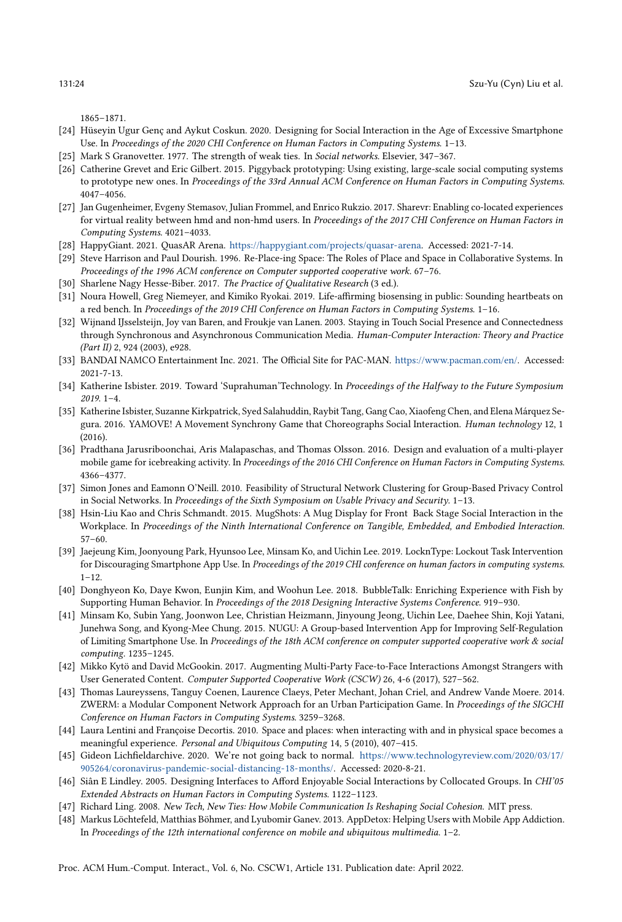1865–1871.

- <span id="page-23-8"></span>[24] Hüseyin Ugur Genç and Aykut Coskun. 2020. Designing for Social Interaction in the Age of Excessive Smartphone Use. In Proceedings of the 2020 CHI Conference on Human Factors in Computing Systems. 1–13.
- <span id="page-23-1"></span>[25] Mark S Granovetter. 1977. The strength of weak ties. In Social networks. Elsevier, 347–367.
- <span id="page-23-16"></span>[26] Catherine Grevet and Eric Gilbert. 2015. Piggyback prototyping: Using existing, large-scale social computing systems to prototype new ones. In Proceedings of the 33rd Annual ACM Conference on Human Factors in Computing Systems. 4047–4056.
- <span id="page-23-10"></span>[27] Jan Gugenheimer, Evgeny Stemasov, Julian Frommel, and Enrico Rukzio. 2017. Sharevr: Enabling co-located experiences for virtual reality between hmd and non-hmd users. In Proceedings of the 2017 CHI Conference on Human Factors in Computing Systems. 4021–4033.
- <span id="page-23-23"></span>[28] HappyGiant. 2021. QuasAR Arena. [https://happygiant.com/projects/quasar-arena.](https://happygiant.com/projects/quasar-arena) Accessed: 2021-7-14.
- <span id="page-23-18"></span>[29] Steve Harrison and Paul Dourish. 1996. Re-Place-ing Space: The Roles of Place and Space in Collaborative Systems. In Proceedings of the 1996 ACM conference on Computer supported cooperative work. 67–76.
- <span id="page-23-14"></span>[30] Sharlene Nagy Hesse-Biber. 2017. The Practice of Qualitative Research (3 ed.).
- <span id="page-23-22"></span>[31] Noura Howell, Greg Niemeyer, and Kimiko Ryokai. 2019. Life-affirming biosensing in public: Sounding heartbeats on a red bench. In Proceedings of the 2019 CHI Conference on Human Factors in Computing Systems. 1-16.
- <span id="page-23-21"></span>[32] Wijnand IJsselsteijn, Joy van Baren, and Froukje van Lanen. 2003. Staying in Touch Social Presence and Connectedness through Synchronous and Asynchronous Communication Media. Human-Computer Interaction: Theory and Practice (Part II) 2, 924 (2003), e928.
- <span id="page-23-17"></span>[33] BANDAI NAMCO Entertainment Inc. 2021. The Official Site for PAC-MAN. [https://www.pacman.com/en/.](https://www.pacman.com/en/) Accessed: 2021-7-13.
- <span id="page-23-20"></span>[34] Katherine Isbister. 2019. Toward 'Suprahuman'Technology. In Proceedings of the Halfway to the Future Symposium 2019. 1–4.
- <span id="page-23-9"></span>[35] Katherine Isbister, Suzanne Kirkpatrick, Syed Salahuddin, Raybit Tang, Gang Cao, Xiaofeng Chen, and Elena Márquez Segura. 2016. YAMOVE! A Movement Synchrony Game that Choreographs Social Interaction. Human technology 12, 1 (2016).
- <span id="page-23-2"></span>[36] Pradthana Jarusriboonchai, Aris Malapaschas, and Thomas Olsson. 2016. Design and evaluation of a multi-player mobile game for icebreaking activity. In Proceedings of the 2016 CHI Conference on Human Factors in Computing Systems. 4366–4377.
- <span id="page-23-13"></span>[37] Simon Jones and Eamonn O'Neill. 2010. Feasibility of Structural Network Clustering for Group-Based Privacy Control in Social Networks. In Proceedings of the Sixth Symposium on Usable Privacy and Security. 1–13.
- <span id="page-23-12"></span>[38] Hsin-Liu Kao and Chris Schmandt. 2015. MugShots: A Mug Display for Front Back Stage Social Interaction in the Workplace. In Proceedings of the Ninth International Conference on Tangible, Embedded, and Embodied Interaction. 57–60.
- <span id="page-23-5"></span>[39] Jaejeung Kim, Joonyoung Park, Hyunsoo Lee, Minsam Ko, and Uichin Lee. 2019. LocknType: Lockout Task Intervention for Discouraging Smartphone App Use. In Proceedings of the 2019 CHI conference on human factors in computing systems.  $1 - 12$ .
- <span id="page-23-15"></span>[40] Donghyeon Ko, Daye Kwon, Eunjin Kim, and Woohun Lee. 2018. BubbleTalk: Enriching Experience with Fish by Supporting Human Behavior. In Proceedings of the 2018 Designing Interactive Systems Conference. 919–930.
- <span id="page-23-6"></span>[41] Minsam Ko, Subin Yang, Joonwon Lee, Christian Heizmann, Jinyoung Jeong, Uichin Lee, Daehee Shin, Koji Yatani, Junehwa Song, and Kyong-Mee Chung. 2015. NUGU: A Group-based Intervention App for Improving Self-Regulation of Limiting Smartphone Use. In Proceedings of the 18th ACM conference on computer supported cooperative work & social computing. 1235–1245.
- <span id="page-23-3"></span>[42] Mikko Kytö and David McGookin. 2017. Augmenting Multi-Party Face-to-Face Interactions Amongst Strangers with User Generated Content. Computer Supported Cooperative Work (CSCW) 26, 4-6 (2017), 527–562.
- <span id="page-23-11"></span>[43] Thomas Laureyssens, Tanguy Coenen, Laurence Claeys, Peter Mechant, Johan Criel, and Andrew Vande Moere. 2014. ZWERM: a Modular Component Network Approach for an Urban Participation Game. In Proceedings of the SIGCHI Conference on Human Factors in Computing Systems. 3259–3268.
- <span id="page-23-19"></span>[44] Laura Lentini and Françoise Decortis. 2010. Space and places: when interacting with and in physical space becomes a meaningful experience. Personal and Ubiquitous Computing 14, 5 (2010), 407–415.
- <span id="page-23-24"></span>[45] Gideon Lichfieldarchive. 2020. We're not going back to normal. [https://www.technologyreview.com/2020/03/17/](https://www.technologyreview.com/2020/03/17/905264/coronavirus-pandemic-social-distancing-18-months/) [905264/coronavirus-pandemic-social-distancing-18-months/.](https://www.technologyreview.com/2020/03/17/905264/coronavirus-pandemic-social-distancing-18-months/) Accessed: 2020-8-21.
- <span id="page-23-0"></span>[46] Siân E Lindley. 2005. Designing Interfaces to Afford Enjoyable Social Interactions by Collocated Groups. In CHI'05 Extended Abstracts on Human Factors in Computing Systems. 1122–1123.
- <span id="page-23-4"></span>[47] Richard Ling. 2008. New Tech, New Ties: How Mobile Communication Is Reshaping Social Cohesion. MIT press.
- <span id="page-23-7"></span>[48] Markus Löchtefeld, Matthias Böhmer, and Lyubomir Ganev. 2013. AppDetox: Helping Users with Mobile App Addiction. In Proceedings of the 12th international conference on mobile and ubiquitous multimedia. 1–2.

Proc. ACM Hum.-Comput. Interact., Vol. 6, No. CSCW1, Article 131. Publication date: April 2022.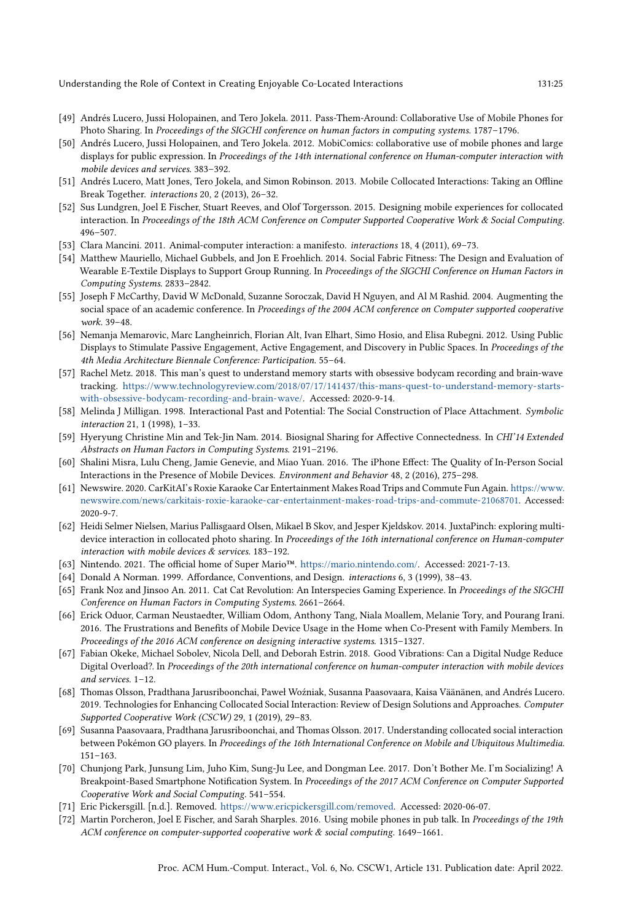- <span id="page-24-10"></span>[49] Andrés Lucero, Jussi Holopainen, and Tero Jokela. 2011. Pass-Them-Around: Collaborative Use of Mobile Phones for Photo Sharing. In Proceedings of the SIGCHI conference on human factors in computing systems. 1787–1796.
- <span id="page-24-3"></span>[50] Andrés Lucero, Jussi Holopainen, and Tero Jokela. 2012. MobiComics: collaborative use of mobile phones and large displays for public expression. In Proceedings of the 14th international conference on Human-computer interaction with mobile devices and services. 383–392.
- <span id="page-24-8"></span>[51] Andrés Lucero, Matt Jones, Tero Jokela, and Simon Robinson. 2013. Mobile Collocated Interactions: Taking an Offline Break Together. interactions 20, 2 (2013), 26–32.
- <span id="page-24-15"></span>[52] Sus Lundgren, Joel E Fischer, Stuart Reeves, and Olof Torgersson. 2015. Designing mobile experiences for collocated interaction. In Proceedings of the 18th ACM Conference on Computer Supported Cooperative Work & Social Computing. 496–507.
- <span id="page-24-18"></span>[53] Clara Mancini. 2011. Animal-computer interaction: a manifesto. interactions 18, 4 (2011), 69–73.
- <span id="page-24-14"></span>[54] Matthew Mauriello, Michael Gubbels, and Jon E Froehlich. 2014. Social Fabric Fitness: The Design and Evaluation of Wearable E-Textile Displays to Support Group Running. In Proceedings of the SIGCHI Conference on Human Factors in Computing Systems. 2833–2842.
- <span id="page-24-13"></span>[55] Joseph F McCarthy, David W McDonald, Suzanne Soroczak, David H Nguyen, and Al M Rashid. 2004. Augmenting the social space of an academic conference. In Proceedings of the 2004 ACM conference on Computer supported cooperative work. 39–48.
- <span id="page-24-11"></span>[56] Nemanja Memarovic, Marc Langheinrich, Florian Alt, Ivan Elhart, Simo Hosio, and Elisa Rubegni. 2012. Using Public Displays to Stimulate Passive Engagement, Active Engagement, and Discovery in Public Spaces. In Proceedings of the 4th Media Architecture Biennale Conference: Participation. 55–64.
- <span id="page-24-23"></span>[57] Rachel Metz. 2018. This man's quest to understand memory starts with obsessive bodycam recording and brain-wave tracking. [https://www.technologyreview.com/2018/07/17/141437/this-mans-quest-to-understand-memory-starts](https://www.technologyreview.com/2018/07/17/141437/this-mans-quest-to-understand-memory-starts-with-obsessive-bodycam-recording-and-brain-wave/)[with-obsessive-bodycam-recording-and-brain-wave/.](https://www.technologyreview.com/2018/07/17/141437/this-mans-quest-to-understand-memory-starts-with-obsessive-bodycam-recording-and-brain-wave/) Accessed: 2020-9-14.
- <span id="page-24-20"></span>[58] Melinda J Milligan. 1998. Interactional Past and Potential: The Social Construction of Place Attachment. Symbolic interaction 21, 1 (1998), 1–33.
- <span id="page-24-22"></span>[59] Hyeryung Christine Min and Tek-Jin Nam. 2014. Biosignal Sharing for Affective Connectedness. In CHI'14 Extended Abstracts on Human Factors in Computing Systems. 2191–2196.
- <span id="page-24-0"></span>[60] Shalini Misra, Lulu Cheng, Jamie Genevie, and Miao Yuan. 2016. The iPhone Effect: The Quality of In-Person Social Interactions in the Presence of Mobile Devices. Environment and Behavior 48, 2 (2016), 275–298.
- <span id="page-24-21"></span>[61] Newswire. 2020. CarKitAI's Roxie Karaoke Car Entertainment Makes Road Trips and Commute Fun Again. [https://www.](https://www.newswire.com/news/carkitais-roxie-karaoke-car-entertainment-makes-road-trips-and-commute-21068701) [newswire.com/news/carkitais-roxie-karaoke-car-entertainment-makes-road-trips-and-commute-21068701.](https://www.newswire.com/news/carkitais-roxie-karaoke-car-entertainment-makes-road-trips-and-commute-21068701) Accessed: 2020-9-7.
- <span id="page-24-9"></span>[62] Heidi Selmer Nielsen, Marius Pallisgaard Olsen, Mikael B Skov, and Jesper Kjeldskov. 2014. JuxtaPinch: exploring multidevice interaction in collocated photo sharing. In Proceedings of the 16th international conference on Human-computer interaction with mobile devices & services. 183–192.
- <span id="page-24-19"></span>[63] Nintendo. 2021. The official home of Super Mario™. [https://mario.nintendo.com/.](https://mario.nintendo.com/) Accessed: 2021-7-13.
- <span id="page-24-16"></span>[64] Donald A Norman. 1999. Affordance, Conventions, and Design. interactions 6, 3 (1999), 38–43.
- <span id="page-24-17"></span>[65] Frank Noz and Jinsoo An. 2011. Cat Cat Revolution: An Interspecies Gaming Experience. In Proceedings of the SIGCHI Conference on Human Factors in Computing Systems. 2661–2664.
- <span id="page-24-1"></span>[66] Erick Oduor, Carman Neustaedter, William Odom, Anthony Tang, Niala Moallem, Melanie Tory, and Pourang Irani. 2016. The Frustrations and Benefits of Mobile Device Usage in the Home when Co-Present with Family Members. In Proceedings of the 2016 ACM conference on designing interactive systems. 1315–1327.
- <span id="page-24-6"></span>[67] Fabian Okeke, Michael Sobolev, Nicola Dell, and Deborah Estrin. 2018. Good Vibrations: Can a Digital Nudge Reduce Digital Overload?. In Proceedings of the 20th international conference on human-computer interaction with mobile devices and services. 1–12.
- <span id="page-24-2"></span>[68] Thomas Olsson, Pradthana Jarusriboonchai, Paweł Woźniak, Susanna Paasovaara, Kaisa Väänänen, and Andrés Lucero. 2019. Technologies for Enhancing Collocated Social Interaction: Review of Design Solutions and Approaches. Computer Supported Cooperative Work (CSCW) 29, 1 (2019), 29–83.
- <span id="page-24-4"></span>[69] Susanna Paasovaara, Pradthana Jarusriboonchai, and Thomas Olsson. 2017. Understanding collocated social interaction between Pokémon GO players. In Proceedings of the 16th International Conference on Mobile and Ubiquitous Multimedia. 151–163.
- <span id="page-24-7"></span>[70] Chunjong Park, Junsung Lim, Juho Kim, Sung-Ju Lee, and Dongman Lee. 2017. Don't Bother Me. I'm Socializing! A Breakpoint-Based Smartphone Notification System. In Proceedings of the 2017 ACM Conference on Computer Supported Cooperative Work and Social Computing. 541–554.
- <span id="page-24-5"></span>[71] Eric Pickersgill. [n.d.]. Removed. [https://www.ericpickersgill.com/removed.](https://www.ericpickersgill.com/removed) Accessed: 2020-06-07.
- <span id="page-24-12"></span>[72] Martin Porcheron, Joel E Fischer, and Sarah Sharples. 2016. Using mobile phones in pub talk. In Proceedings of the 19th ACM conference on computer-supported cooperative work & social computing. 1649–1661.